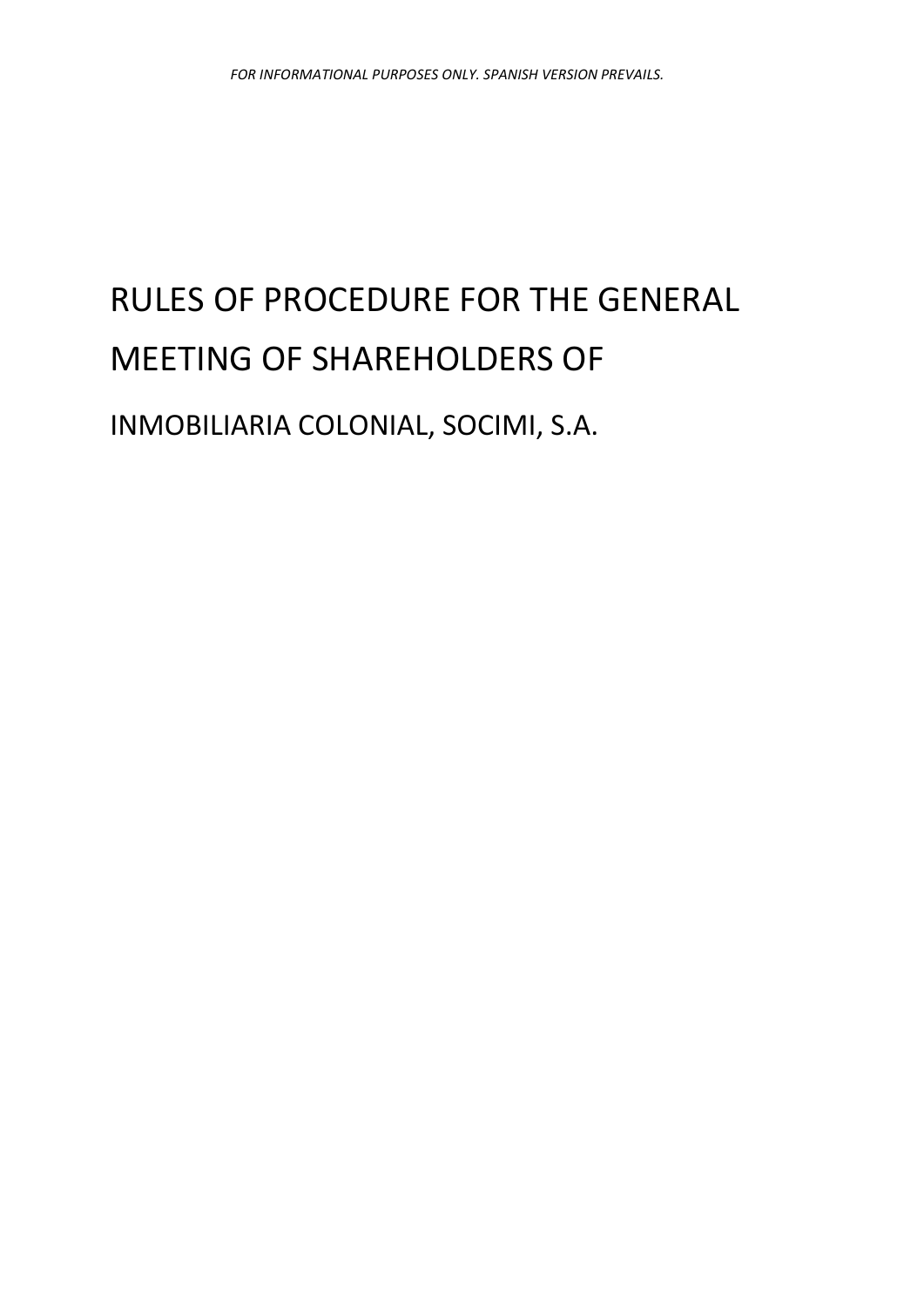# RULES OF PROCEDURE FOR THE GENERAL MEETING OF SHAREHOLDERS OF

INMOBILIARIA COLONIAL, SOCIMI, S.A.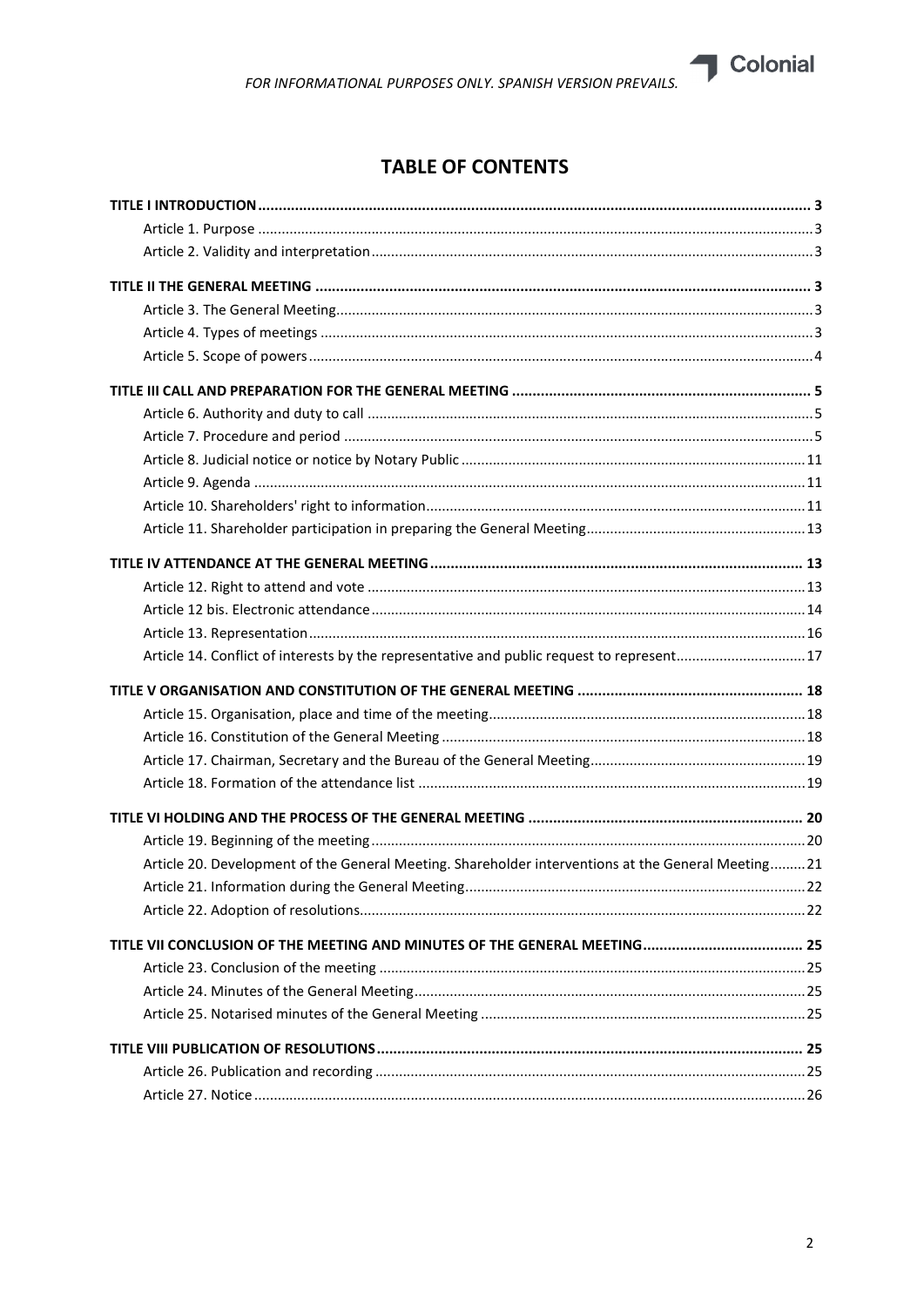

| Article 14. Conflict of interests by the representative and public request to represent17          |  |
|----------------------------------------------------------------------------------------------------|--|
|                                                                                                    |  |
|                                                                                                    |  |
|                                                                                                    |  |
|                                                                                                    |  |
|                                                                                                    |  |
|                                                                                                    |  |
|                                                                                                    |  |
| Article 20. Development of the General Meeting. Shareholder interventions at the General Meeting21 |  |
|                                                                                                    |  |
|                                                                                                    |  |
|                                                                                                    |  |
|                                                                                                    |  |
|                                                                                                    |  |
|                                                                                                    |  |
|                                                                                                    |  |
|                                                                                                    |  |
|                                                                                                    |  |

Colonial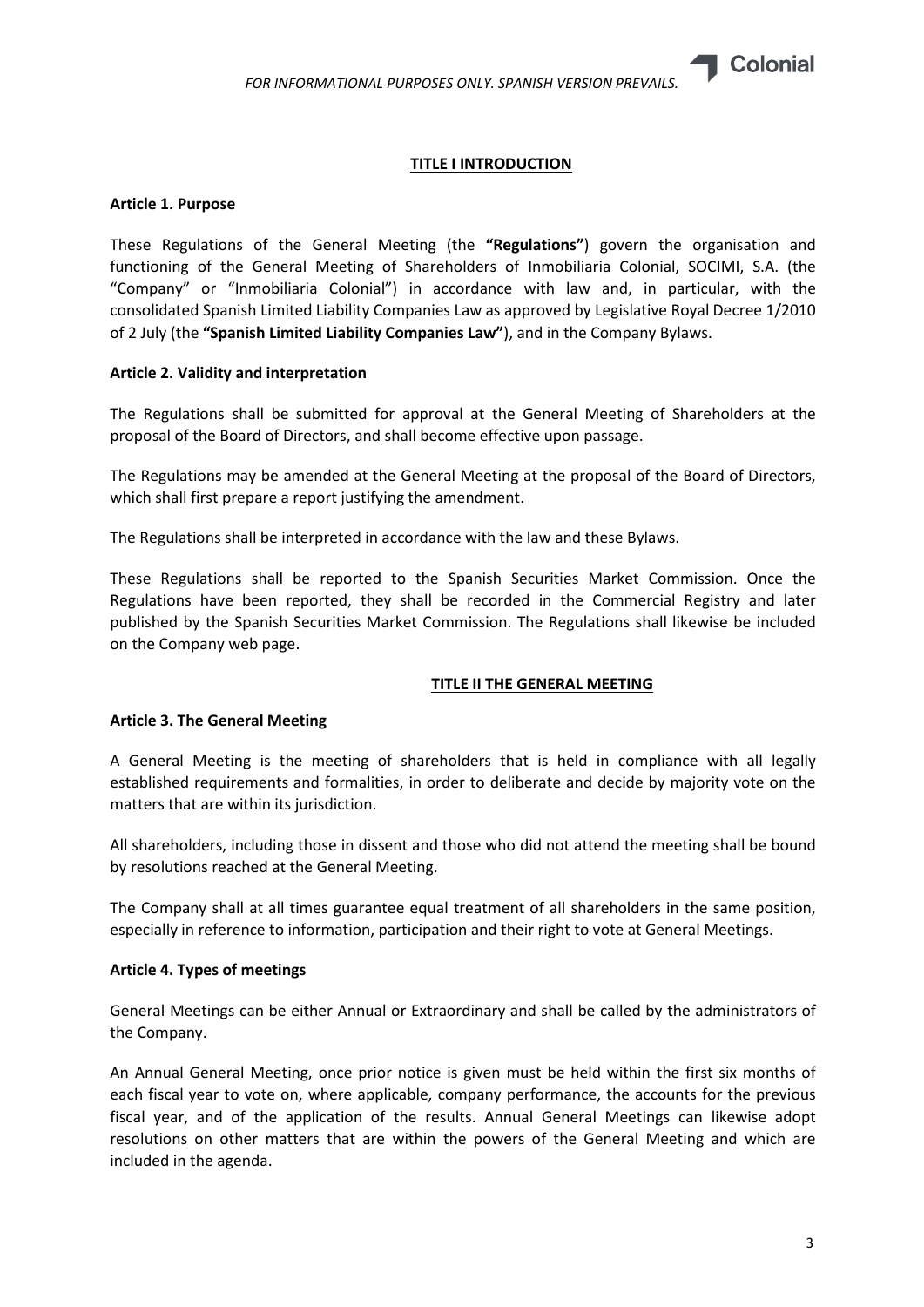

# TITLE I INTRODUCTION

# Article 1. Purpose

These Regulations of the General Meeting (the "Regulations") govern the organisation and functioning of the General Meeting of Shareholders of Inmobiliaria Colonial, SOCIMI, S.A. (the "Company" or "Inmobiliaria Colonial") in accordance with law and, in particular, with the consolidated Spanish Limited Liability Companies Law as approved by Legislative Royal Decree 1/2010 of 2 July (the "Spanish Limited Liability Companies Law"), and in the Company Bylaws.

# Article 2. Validity and interpretation

The Regulations shall be submitted for approval at the General Meeting of Shareholders at the proposal of the Board of Directors, and shall become effective upon passage.

The Regulations may be amended at the General Meeting at the proposal of the Board of Directors, which shall first prepare a report justifying the amendment.

The Regulations shall be interpreted in accordance with the law and these Bylaws.

These Regulations shall be reported to the Spanish Securities Market Commission. Once the Regulations have been reported, they shall be recorded in the Commercial Registry and later published by the Spanish Securities Market Commission. The Regulations shall likewise be included on the Company web page.

#### TITLE II THE GENERAL MEETING

# Article 3. The General Meeting

A General Meeting is the meeting of shareholders that is held in compliance with all legally established requirements and formalities, in order to deliberate and decide by majority vote on the matters that are within its jurisdiction.

All shareholders, including those in dissent and those who did not attend the meeting shall be bound by resolutions reached at the General Meeting.

The Company shall at all times guarantee equal treatment of all shareholders in the same position, especially in reference to information, participation and their right to vote at General Meetings.

#### Article 4. Types of meetings

General Meetings can be either Annual or Extraordinary and shall be called by the administrators of the Company.

An Annual General Meeting, once prior notice is given must be held within the first six months of each fiscal year to vote on, where applicable, company performance, the accounts for the previous fiscal year, and of the application of the results. Annual General Meetings can likewise adopt resolutions on other matters that are within the powers of the General Meeting and which are included in the agenda.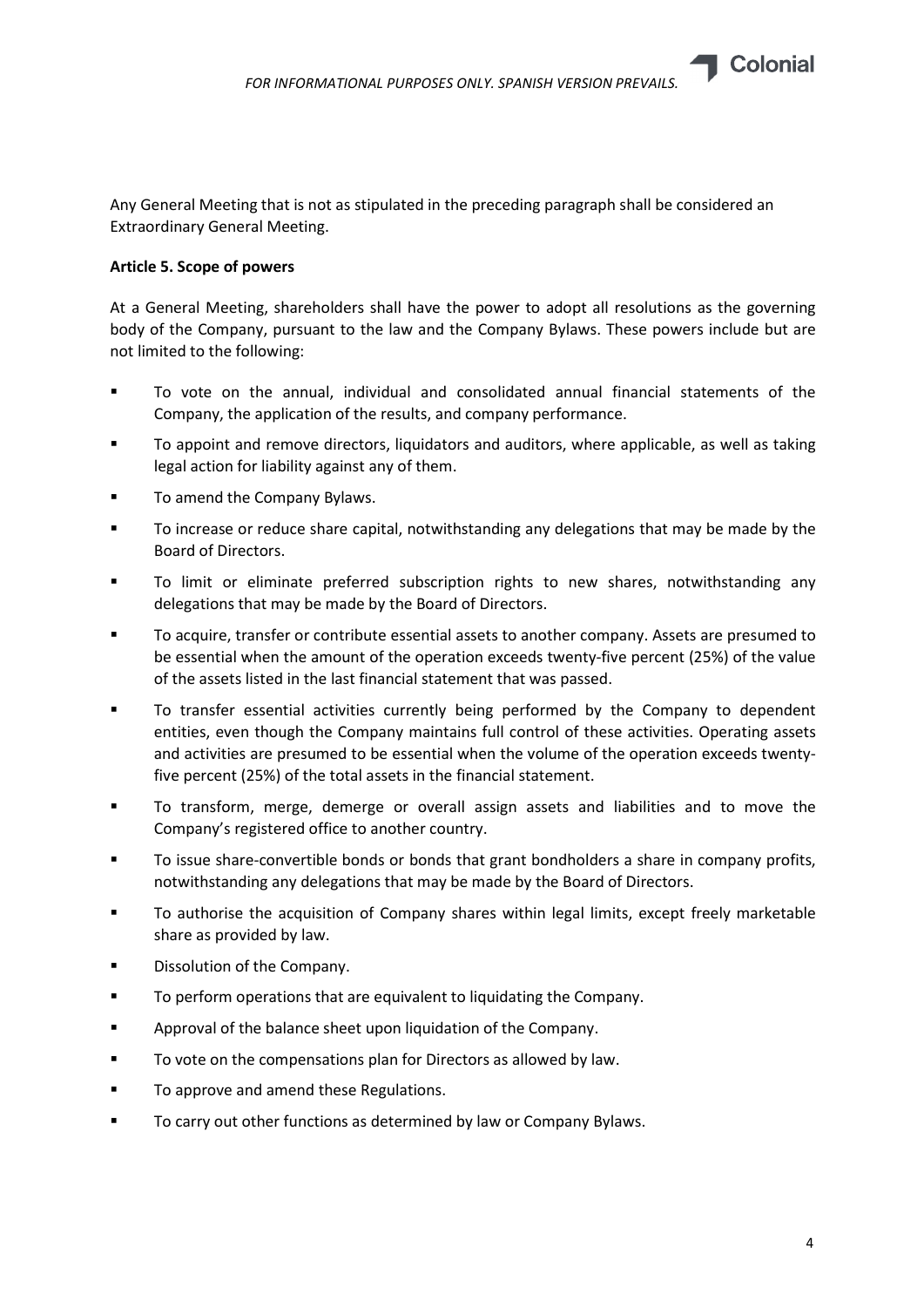

Any General Meeting that is not as stipulated in the preceding paragraph shall be considered an Extraordinary General Meeting.

# Article 5. Scope of powers

At a General Meeting, shareholders shall have the power to adopt all resolutions as the governing body of the Company, pursuant to the law and the Company Bylaws. These powers include but are not limited to the following:

- To vote on the annual, individual and consolidated annual financial statements of the Company, the application of the results, and company performance.
- To appoint and remove directors, liquidators and auditors, where applicable, as well as taking legal action for liability against any of them.
- To amend the Company Bylaws.
- To increase or reduce share capital, notwithstanding any delegations that may be made by the Board of Directors.
- To limit or eliminate preferred subscription rights to new shares, notwithstanding any delegations that may be made by the Board of Directors.
- To acquire, transfer or contribute essential assets to another company. Assets are presumed to be essential when the amount of the operation exceeds twenty-five percent (25%) of the value of the assets listed in the last financial statement that was passed.
- To transfer essential activities currently being performed by the Company to dependent entities, even though the Company maintains full control of these activities. Operating assets and activities are presumed to be essential when the volume of the operation exceeds twentyfive percent (25%) of the total assets in the financial statement.
- To transform, merge, demerge or overall assign assets and liabilities and to move the Company's registered office to another country.
- To issue share-convertible bonds or bonds that grant bondholders a share in company profits, notwithstanding any delegations that may be made by the Board of Directors.
- To authorise the acquisition of Company shares within legal limits, except freely marketable share as provided by law.
- **Dissolution of the Company.**
- To perform operations that are equivalent to liquidating the Company.
- Approval of the balance sheet upon liquidation of the Company.
- To vote on the compensations plan for Directors as allowed by law.
- **TO approve and amend these Regulations.**
- To carry out other functions as determined by law or Company Bylaws.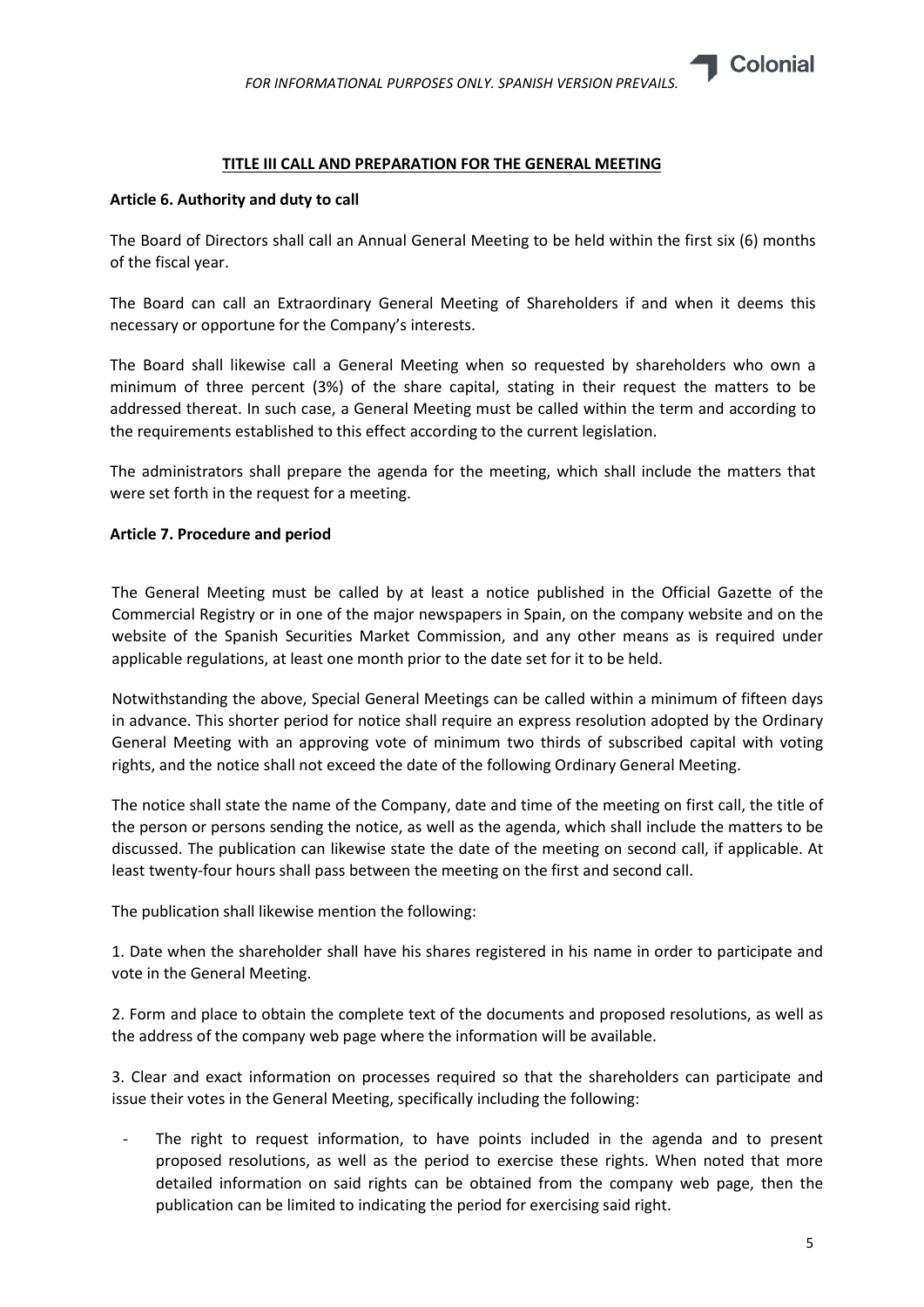# TITLE III CALL AND PREPARATION FOR THE GENERAL MEETING

## Article 6. Authority and duty to call

The Board of Directors shall call an Annual General Meeting to be held within the first six (6) months of the fiscal year.

The Board can call an Extraordinary General Meeting of Shareholders if and when it deems this necessary or opportune for the Company's interests.

The Board shall likewise call a General Meeting when so requested by shareholders who own a minimum of three percent (3%) of the share capital, stating in their request the matters to be addressed thereat. In such case, a General Meeting must be called within the term and according to the requirements established to this effect according to the current legislation.

The administrators shall prepare the agenda for the meeting, which shall include the matters that were set forth in the request for a meeting.

#### Article 7. Procedure and period

The General Meeting must be called by at least a notice published in the Official Gazette of the Commercial Registry or in one of the major newspapers in Spain, on the company website and on the website of the Spanish Securities Market Commission, and any other means as is required under applicable regulations, at least one month prior to the date set for it to be held.

Notwithstanding the above, Special General Meetings can be called within a minimum of fifteen days in advance. This shorter period for notice shall require an express resolution adopted by the Ordinary General Meeting with an approving vote of minimum two thirds of subscribed capital with voting rights, and the notice shall not exceed the date of the following Ordinary General Meeting.

The notice shall state the name of the Company, date and time of the meeting on first call, the title of the person or persons sending the notice, as well as the agenda, which shall include the matters to be discussed. The publication can likewise state the date of the meeting on second call, if applicable. At least twenty-four hours shall pass between the meeting on the first and second call.

The publication shall likewise mention the following:

1. Date when the shareholder shall have his shares registered in his name in order to participate and vote in the General Meeting.

2. Form and place to obtain the complete text of the documents and proposed resolutions, as well as the address of the company web page where the information will be available.

3. Clear and exact information on processes required so that the shareholders can participate and issue their votes in the General Meeting, specifically including the following:

The right to request information, to have points included in the agenda and to present proposed resolutions, as well as the period to exercise these rights. When noted that more detailed information on said rights can be obtained from the company web page, then the publication can be limited to indicating the period for exercising said right.

**Colonial**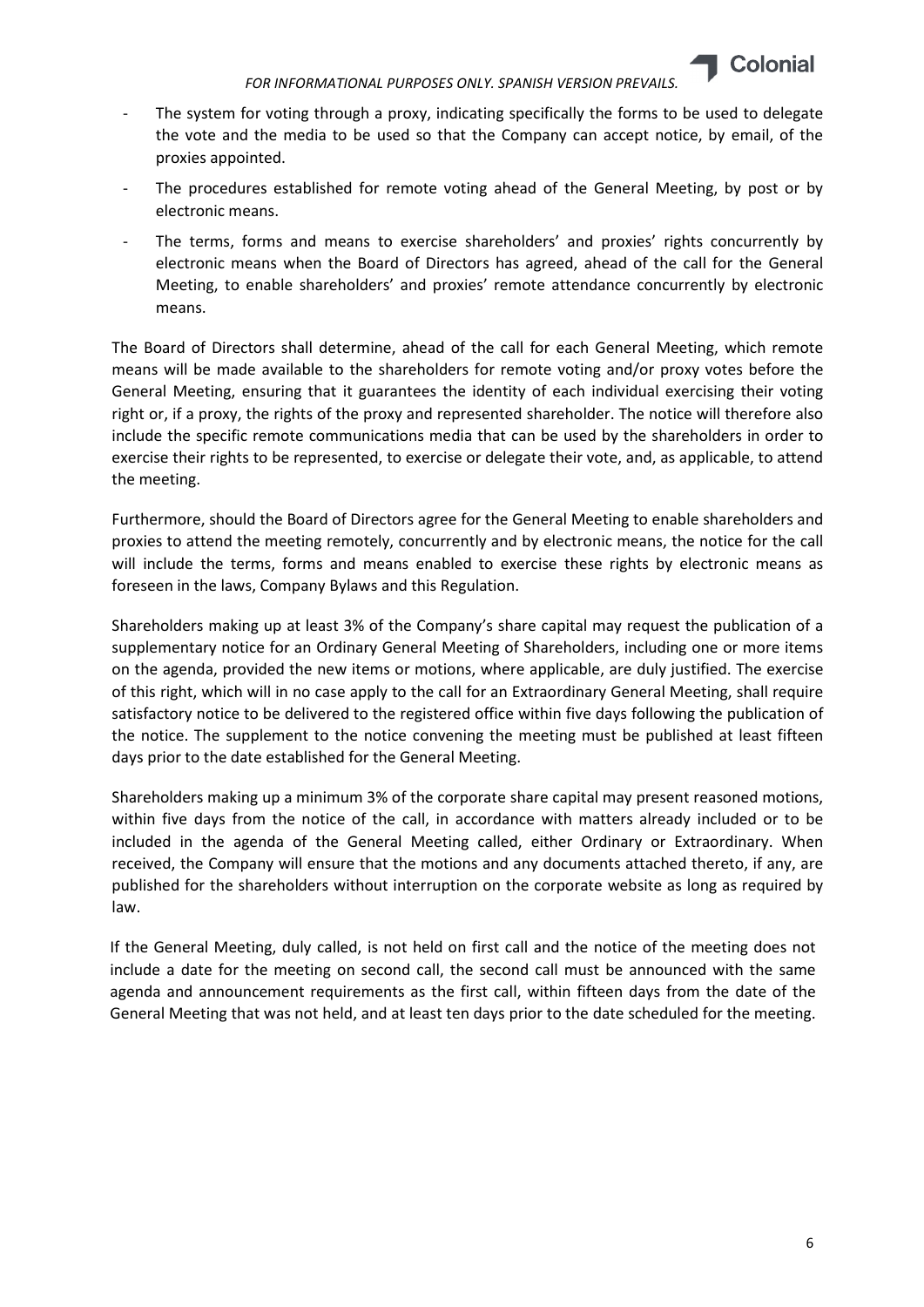

- The system for voting through a proxy, indicating specifically the forms to be used to delegate the vote and the media to be used so that the Company can accept notice, by email, of the proxies appointed.
- The procedures established for remote voting ahead of the General Meeting, by post or by electronic means.
- The terms, forms and means to exercise shareholders' and proxies' rights concurrently by electronic means when the Board of Directors has agreed, ahead of the call for the General Meeting, to enable shareholders' and proxies' remote attendance concurrently by electronic means.

The Board of Directors shall determine, ahead of the call for each General Meeting, which remote means will be made available to the shareholders for remote voting and/or proxy votes before the General Meeting, ensuring that it guarantees the identity of each individual exercising their voting right or, if a proxy, the rights of the proxy and represented shareholder. The notice will therefore also include the specific remote communications media that can be used by the shareholders in order to exercise their rights to be represented, to exercise or delegate their vote, and, as applicable, to attend the meeting.

Furthermore, should the Board of Directors agree for the General Meeting to enable shareholders and proxies to attend the meeting remotely, concurrently and by electronic means, the notice for the call will include the terms, forms and means enabled to exercise these rights by electronic means as foreseen in the laws, Company Bylaws and this Regulation.

Shareholders making up at least 3% of the Company's share capital may request the publication of a supplementary notice for an Ordinary General Meeting of Shareholders, including one or more items on the agenda, provided the new items or motions, where applicable, are duly justified. The exercise of this right, which will in no case apply to the call for an Extraordinary General Meeting, shall require satisfactory notice to be delivered to the registered office within five days following the publication of the notice. The supplement to the notice convening the meeting must be published at least fifteen days prior to the date established for the General Meeting.

Shareholders making up a minimum 3% of the corporate share capital may present reasoned motions, within five days from the notice of the call, in accordance with matters already included or to be included in the agenda of the General Meeting called, either Ordinary or Extraordinary. When received, the Company will ensure that the motions and any documents attached thereto, if any, are published for the shareholders without interruption on the corporate website as long as required by law.

If the General Meeting, duly called, is not held on first call and the notice of the meeting does not include a date for the meeting on second call, the second call must be announced with the same agenda and announcement requirements as the first call, within fifteen days from the date of the General Meeting that was not held, and at least ten days prior to the date scheduled for the meeting.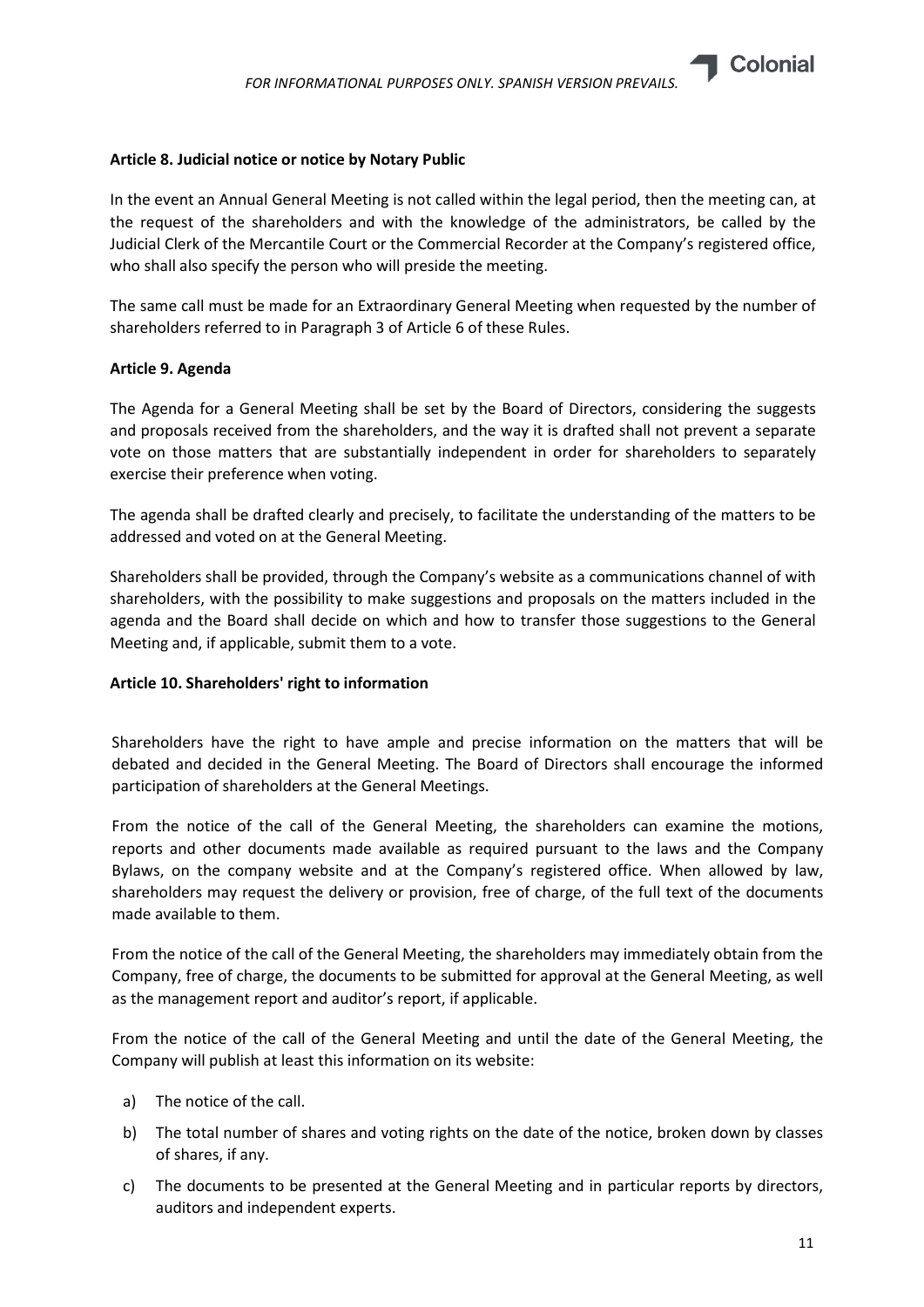

## Article 8. Judicial notice or notice by Notary Public

In the event an Annual General Meeting is not called within the legal period, then the meeting can, at the request of the shareholders and with the knowledge of the administrators, be called by the Judicial Clerk of the Mercantile Court or the Commercial Recorder at the Company's registered office, who shall also specify the person who will preside the meeting.

The same call must be made for an Extraordinary General Meeting when requested by the number of shareholders referred to in Paragraph 3 of Article 6 of these Rules.

#### Article 9. Agenda

The Agenda for a General Meeting shall be set by the Board of Directors, considering the suggests and proposals received from the shareholders, and the way it is drafted shall not prevent a separate vote on those matters that are substantially independent in order for shareholders to separately exercise their preference when voting.

The agenda shall be drafted clearly and precisely, to facilitate the understanding of the matters to be addressed and voted on at the General Meeting.

Shareholders shall be provided, through the Company's website as a communications channel of with shareholders, with the possibility to make suggestions and proposals on the matters included in the agenda and the Board shall decide on which and how to transfer those suggestions to the General Meeting and, if applicable, submit them to a vote.

# Article 10. Shareholders' right to information

Shareholders have the right to have ample and precise information on the matters that will be debated and decided in the General Meeting. The Board of Directors shall encourage the informed participation of shareholders at the General Meetings.

From the notice of the call of the General Meeting, the shareholders can examine the motions, reports and other documents made available as required pursuant to the laws and the Company Bylaws, on the company website and at the Company's registered office. When allowed by law, shareholders may request the delivery or provision, free of charge, of the full text of the documents made available to them.

From the notice of the call of the General Meeting, the shareholders may immediately obtain from the Company, free of charge, the documents to be submitted for approval at the General Meeting, as well as the management report and auditor's report, if applicable.

From the notice of the call of the General Meeting and until the date of the General Meeting, the Company will publish at least this information on its website:

- a) The notice of the call.
- b) The total number of shares and voting rights on the date of the notice, broken down by classes of shares, if any.
- c) The documents to be presented at the General Meeting and in particular reports by directors, auditors and independent experts.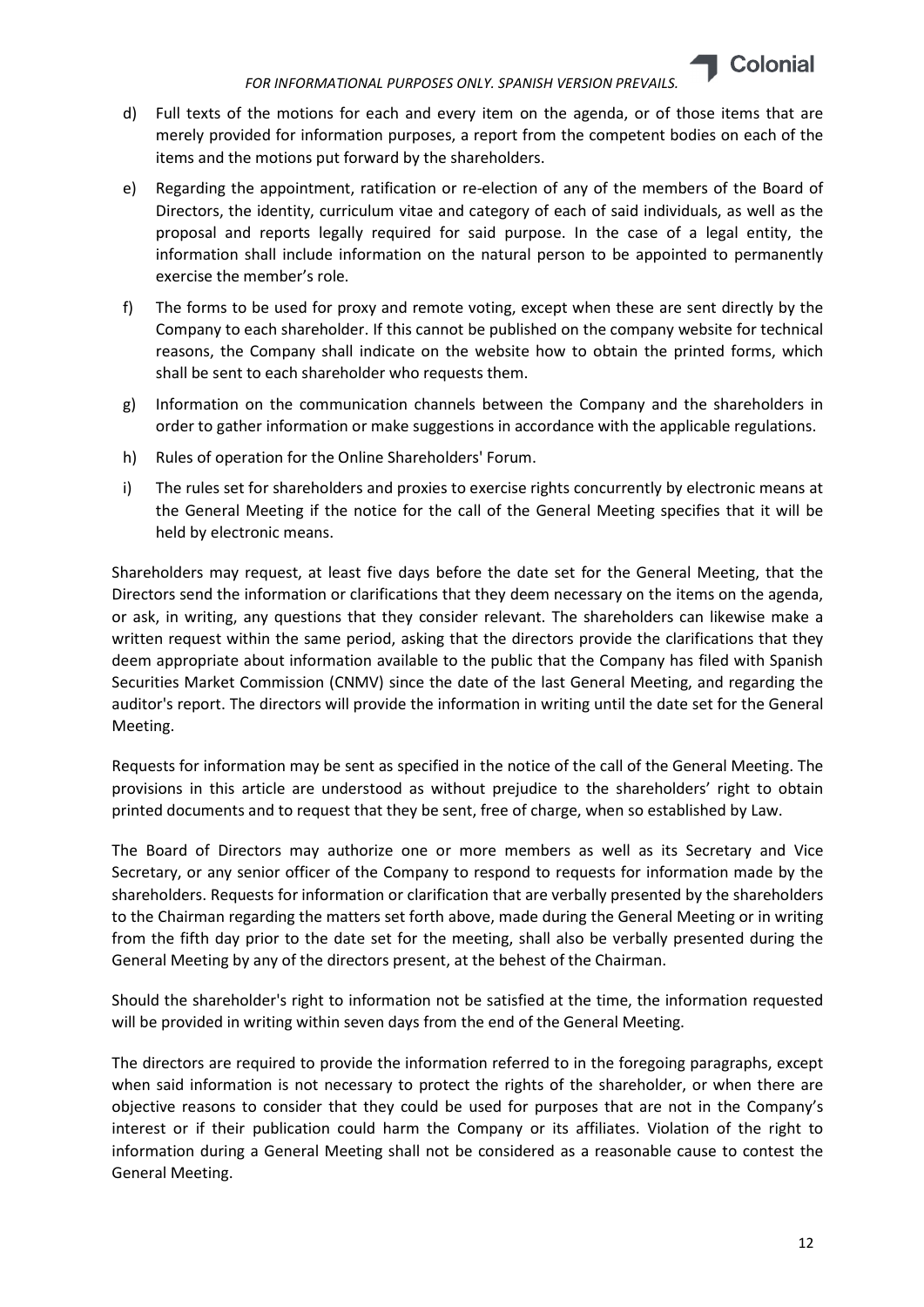

- d) Full texts of the motions for each and every item on the agenda, or of those items that are merely provided for information purposes, a report from the competent bodies on each of the items and the motions put forward by the shareholders.
- e) Regarding the appointment, ratification or re-election of any of the members of the Board of Directors, the identity, curriculum vitae and category of each of said individuals, as well as the proposal and reports legally required for said purpose. In the case of a legal entity, the information shall include information on the natural person to be appointed to permanently exercise the member's role.
- f) The forms to be used for proxy and remote voting, except when these are sent directly by the Company to each shareholder. If this cannot be published on the company website for technical reasons, the Company shall indicate on the website how to obtain the printed forms, which shall be sent to each shareholder who requests them.
- g) Information on the communication channels between the Company and the shareholders in order to gather information or make suggestions in accordance with the applicable regulations.
- h) Rules of operation for the Online Shareholders' Forum.
- i) The rules set for shareholders and proxies to exercise rights concurrently by electronic means at the General Meeting if the notice for the call of the General Meeting specifies that it will be held by electronic means.

Shareholders may request, at least five days before the date set for the General Meeting, that the Directors send the information or clarifications that they deem necessary on the items on the agenda, or ask, in writing, any questions that they consider relevant. The shareholders can likewise make a written request within the same period, asking that the directors provide the clarifications that they deem appropriate about information available to the public that the Company has filed with Spanish Securities Market Commission (CNMV) since the date of the last General Meeting, and regarding the auditor's report. The directors will provide the information in writing until the date set for the General Meeting.

Requests for information may be sent as specified in the notice of the call of the General Meeting. The provisions in this article are understood as without prejudice to the shareholders' right to obtain printed documents and to request that they be sent, free of charge, when so established by Law.

The Board of Directors may authorize one or more members as well as its Secretary and Vice Secretary, or any senior officer of the Company to respond to requests for information made by the shareholders. Requests for information or clarification that are verbally presented by the shareholders to the Chairman regarding the matters set forth above, made during the General Meeting or in writing from the fifth day prior to the date set for the meeting, shall also be verbally presented during the General Meeting by any of the directors present, at the behest of the Chairman.

Should the shareholder's right to information not be satisfied at the time, the information requested will be provided in writing within seven days from the end of the General Meeting.

The directors are required to provide the information referred to in the foregoing paragraphs, except when said information is not necessary to protect the rights of the shareholder, or when there are objective reasons to consider that they could be used for purposes that are not in the Company's interest or if their publication could harm the Company or its affiliates. Violation of the right to information during a General Meeting shall not be considered as a reasonable cause to contest the General Meeting.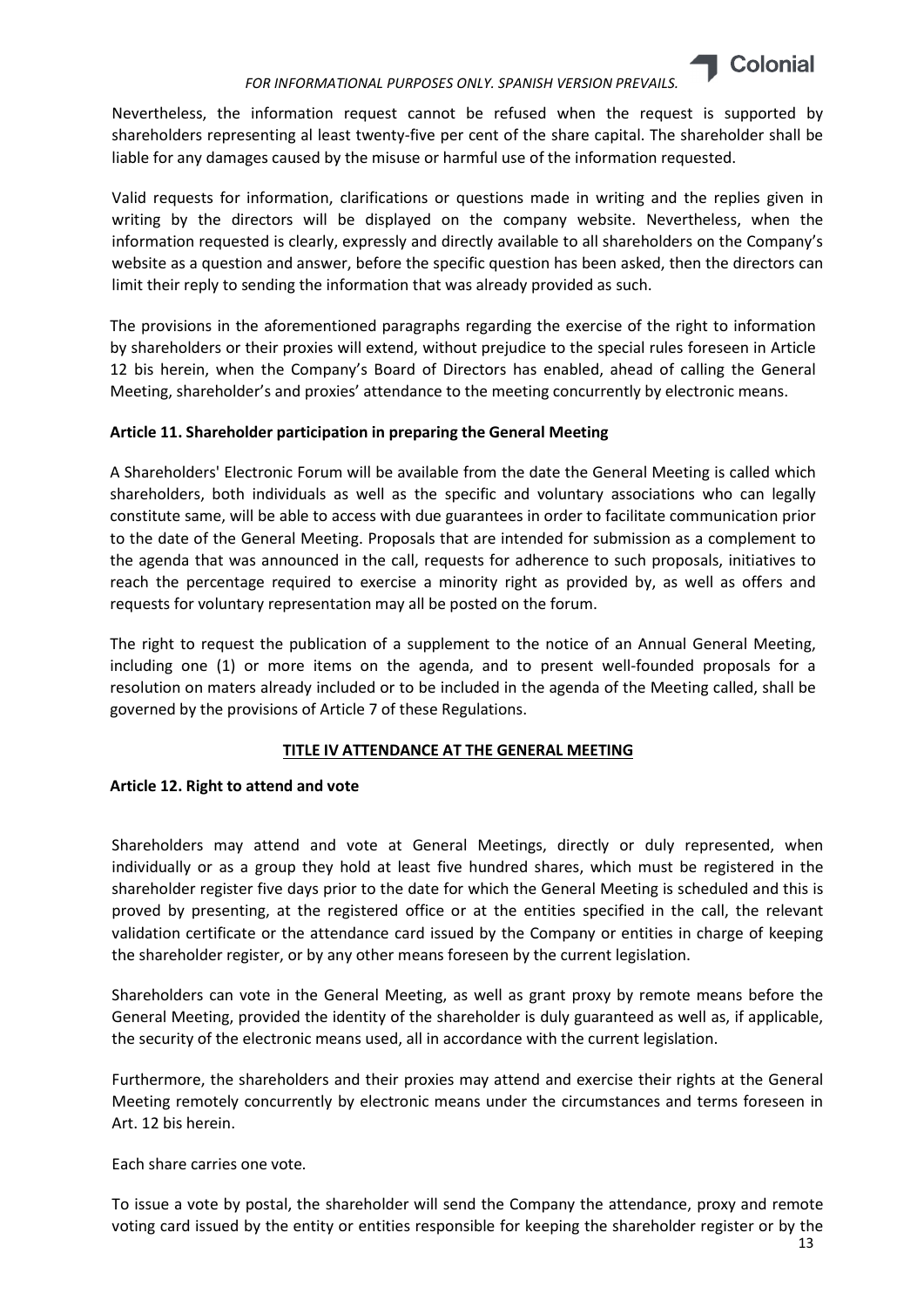

Nevertheless, the information request cannot be refused when the request is supported by shareholders representing al least twenty-five per cent of the share capital. The shareholder shall be liable for any damages caused by the misuse or harmful use of the information requested.

Valid requests for information, clarifications or questions made in writing and the replies given in writing by the directors will be displayed on the company website. Nevertheless, when the information requested is clearly, expressly and directly available to all shareholders on the Company's website as a question and answer, before the specific question has been asked, then the directors can limit their reply to sending the information that was already provided as such.

The provisions in the aforementioned paragraphs regarding the exercise of the right to information by shareholders or their proxies will extend, without prejudice to the special rules foreseen in Article 12 bis herein, when the Company's Board of Directors has enabled, ahead of calling the General Meeting, shareholder's and proxies' attendance to the meeting concurrently by electronic means.

# Article 11. Shareholder participation in preparing the General Meeting

A Shareholders' Electronic Forum will be available from the date the General Meeting is called which shareholders, both individuals as well as the specific and voluntary associations who can legally constitute same, will be able to access with due guarantees in order to facilitate communication prior to the date of the General Meeting. Proposals that are intended for submission as a complement to the agenda that was announced in the call, requests for adherence to such proposals, initiatives to reach the percentage required to exercise a minority right as provided by, as well as offers and requests for voluntary representation may all be posted on the forum.

The right to request the publication of a supplement to the notice of an Annual General Meeting, including one (1) or more items on the agenda, and to present well-founded proposals for a resolution on maters already included or to be included in the agenda of the Meeting called, shall be governed by the provisions of Article 7 of these Regulations.

# TITLE IV ATTENDANCE AT THE GENERAL MEETING

# Article 12. Right to attend and vote

Shareholders may attend and vote at General Meetings, directly or duly represented, when individually or as a group they hold at least five hundred shares, which must be registered in the shareholder register five days prior to the date for which the General Meeting is scheduled and this is proved by presenting, at the registered office or at the entities specified in the call, the relevant validation certificate or the attendance card issued by the Company or entities in charge of keeping the shareholder register, or by any other means foreseen by the current legislation.

Shareholders can vote in the General Meeting, as well as grant proxy by remote means before the General Meeting, provided the identity of the shareholder is duly guaranteed as well as, if applicable, the security of the electronic means used, all in accordance with the current legislation.

Furthermore, the shareholders and their proxies may attend and exercise their rights at the General Meeting remotely concurrently by electronic means under the circumstances and terms foreseen in Art. 12 bis herein.

Each share carries one vote.

To issue a vote by postal, the shareholder will send the Company the attendance, proxy and remote voting card issued by the entity or entities responsible for keeping the shareholder register or by the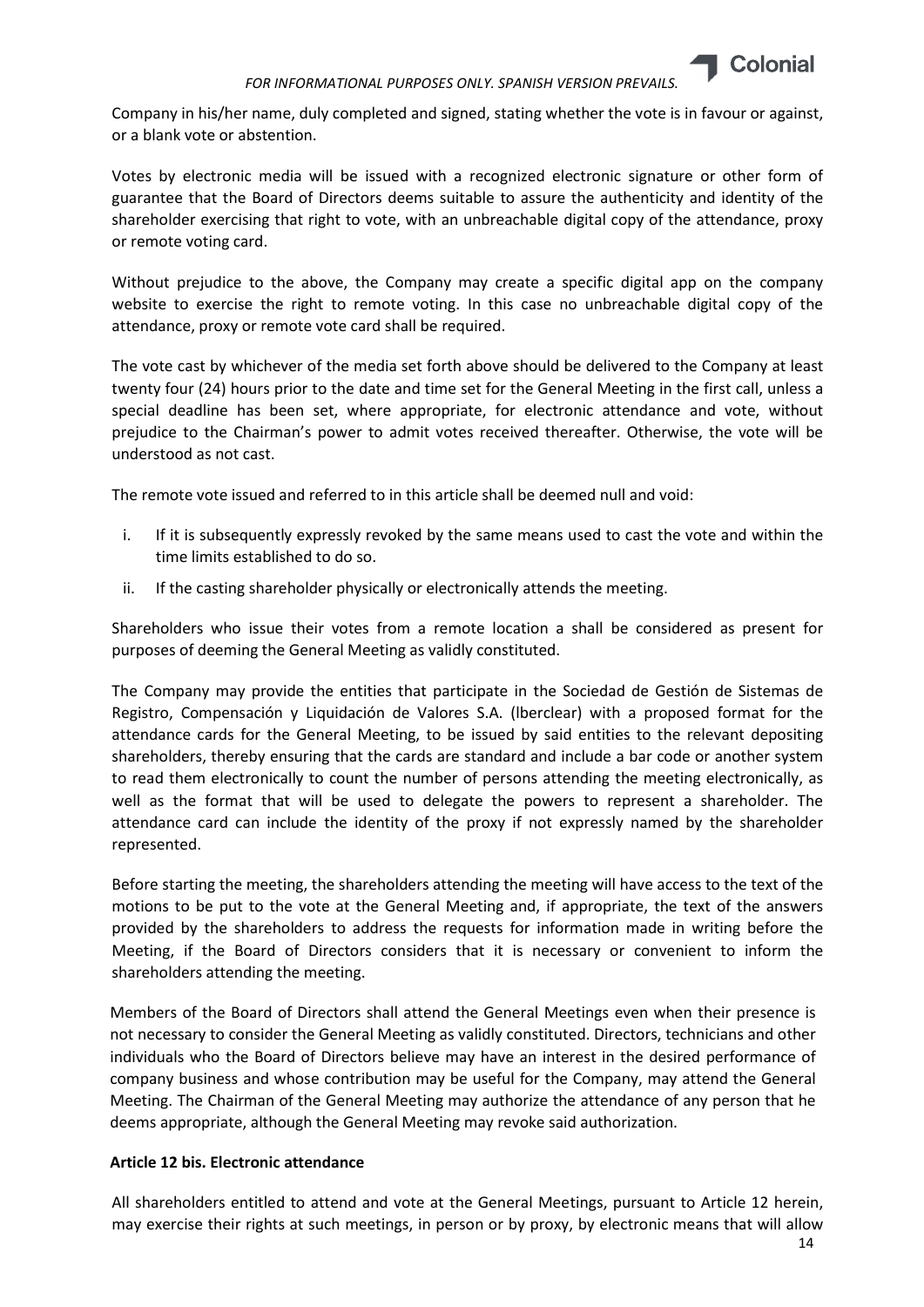

Company in his/her name, duly completed and signed, stating whether the vote is in favour or against, or a blank vote or abstention.

Votes by electronic media will be issued with a recognized electronic signature or other form of guarantee that the Board of Directors deems suitable to assure the authenticity and identity of the shareholder exercising that right to vote, with an unbreachable digital copy of the attendance, proxy or remote voting card.

Without prejudice to the above, the Company may create a specific digital app on the company website to exercise the right to remote voting. In this case no unbreachable digital copy of the attendance, proxy or remote vote card shall be required.

The vote cast by whichever of the media set forth above should be delivered to the Company at least twenty four (24) hours prior to the date and time set for the General Meeting in the first call, unless a special deadline has been set, where appropriate, for electronic attendance and vote, without prejudice to the Chairman's power to admit votes received thereafter. Otherwise, the vote will be understood as not cast.

The remote vote issued and referred to in this article shall be deemed null and void:

- i. If it is subsequently expressly revoked by the same means used to cast the vote and within the time limits established to do so.
- ii. If the casting shareholder physically or electronically attends the meeting.

Shareholders who issue their votes from a remote location a shall be considered as present for purposes of deeming the General Meeting as validly constituted.

The Company may provide the entities that participate in the Sociedad de Gestión de Sistemas de Registro, Compensación y Liquidación de Valores S.A. (lberclear) with a proposed format for the attendance cards for the General Meeting, to be issued by said entities to the relevant depositing shareholders, thereby ensuring that the cards are standard and include a bar code or another system to read them electronically to count the number of persons attending the meeting electronically, as well as the format that will be used to delegate the powers to represent a shareholder. The attendance card can include the identity of the proxy if not expressly named by the shareholder represented.

Before starting the meeting, the shareholders attending the meeting will have access to the text of the motions to be put to the vote at the General Meeting and, if appropriate, the text of the answers provided by the shareholders to address the requests for information made in writing before the Meeting, if the Board of Directors considers that it is necessary or convenient to inform the shareholders attending the meeting.

Members of the Board of Directors shall attend the General Meetings even when their presence is not necessary to consider the General Meeting as validly constituted. Directors, technicians and other individuals who the Board of Directors believe may have an interest in the desired performance of company business and whose contribution may be useful for the Company, may attend the General Meeting. The Chairman of the General Meeting may authorize the attendance of any person that he deems appropriate, although the General Meeting may revoke said authorization.

# Article 12 bis. Electronic attendance

All shareholders entitled to attend and vote at the General Meetings, pursuant to Article 12 herein, may exercise their rights at such meetings, in person or by proxy, by electronic means that will allow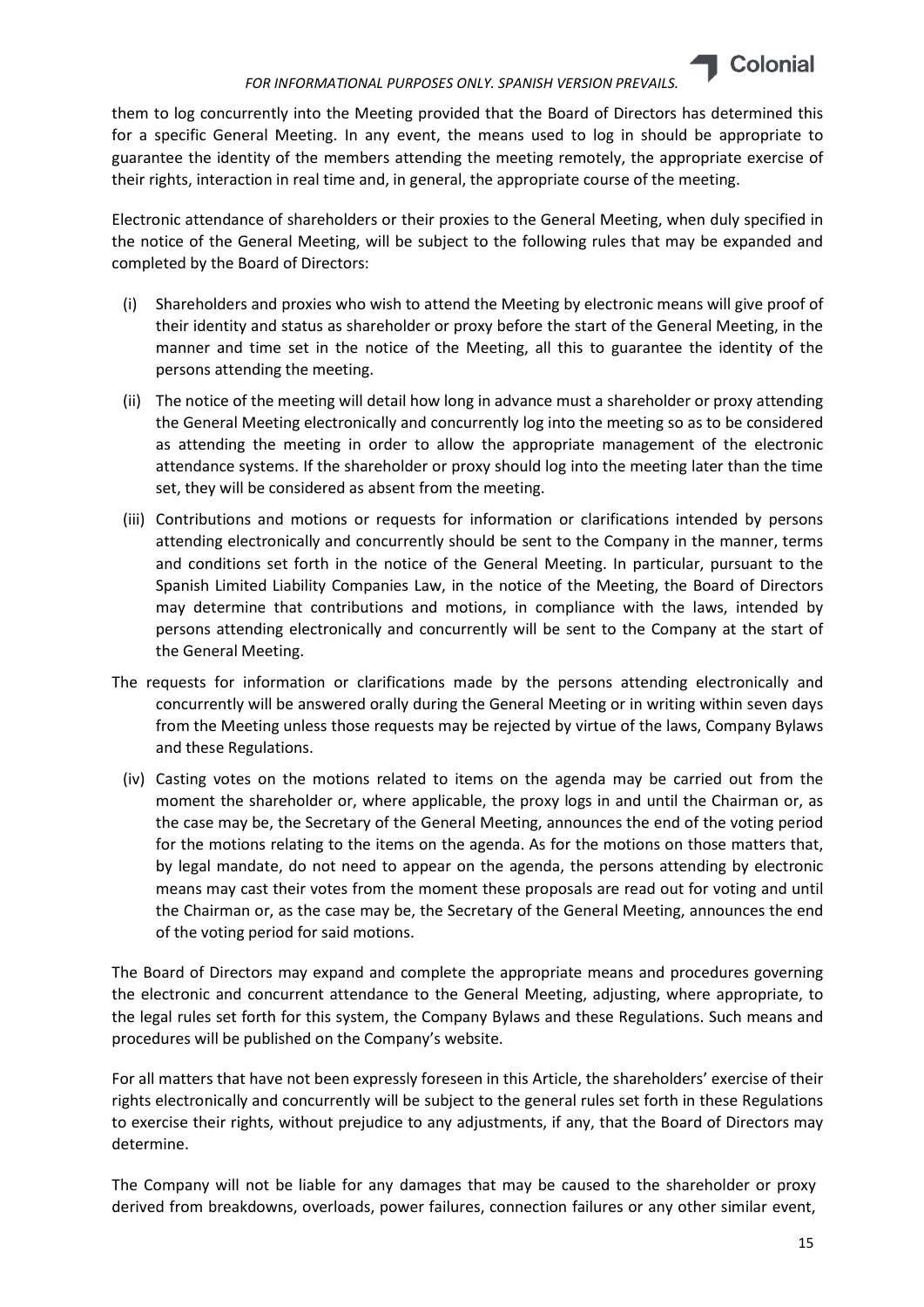

them to log concurrently into the Meeting provided that the Board of Directors has determined this for a specific General Meeting. In any event, the means used to log in should be appropriate to guarantee the identity of the members attending the meeting remotely, the appropriate exercise of their rights, interaction in real time and, in general, the appropriate course of the meeting.

Electronic attendance of shareholders or their proxies to the General Meeting, when duly specified in the notice of the General Meeting, will be subject to the following rules that may be expanded and completed by the Board of Directors:

- (i) Shareholders and proxies who wish to attend the Meeting by electronic means will give proof of their identity and status as shareholder or proxy before the start of the General Meeting, in the manner and time set in the notice of the Meeting, all this to guarantee the identity of the persons attending the meeting.
- (ii) The notice of the meeting will detail how long in advance must a shareholder or proxy attending the General Meeting electronically and concurrently log into the meeting so as to be considered as attending the meeting in order to allow the appropriate management of the electronic attendance systems. If the shareholder or proxy should log into the meeting later than the time set, they will be considered as absent from the meeting.
- (iii) Contributions and motions or requests for information or clarifications intended by persons attending electronically and concurrently should be sent to the Company in the manner, terms and conditions set forth in the notice of the General Meeting. In particular, pursuant to the Spanish Limited Liability Companies Law, in the notice of the Meeting, the Board of Directors may determine that contributions and motions, in compliance with the laws, intended by persons attending electronically and concurrently will be sent to the Company at the start of the General Meeting.
- The requests for information or clarifications made by the persons attending electronically and concurrently will be answered orally during the General Meeting or in writing within seven days from the Meeting unless those requests may be rejected by virtue of the laws, Company Bylaws and these Regulations.
	- (iv) Casting votes on the motions related to items on the agenda may be carried out from the moment the shareholder or, where applicable, the proxy logs in and until the Chairman or, as the case may be, the Secretary of the General Meeting, announces the end of the voting period for the motions relating to the items on the agenda. As for the motions on those matters that, by legal mandate, do not need to appear on the agenda, the persons attending by electronic means may cast their votes from the moment these proposals are read out for voting and until the Chairman or, as the case may be, the Secretary of the General Meeting, announces the end of the voting period for said motions.

The Board of Directors may expand and complete the appropriate means and procedures governing the electronic and concurrent attendance to the General Meeting, adjusting, where appropriate, to the legal rules set forth for this system, the Company Bylaws and these Regulations. Such means and procedures will be published on the Company's website.

For all matters that have not been expressly foreseen in this Article, the shareholders' exercise of their rights electronically and concurrently will be subject to the general rules set forth in these Regulations to exercise their rights, without prejudice to any adjustments, if any, that the Board of Directors may determine.

The Company will not be liable for any damages that may be caused to the shareholder or proxy derived from breakdowns, overloads, power failures, connection failures or any other similar event,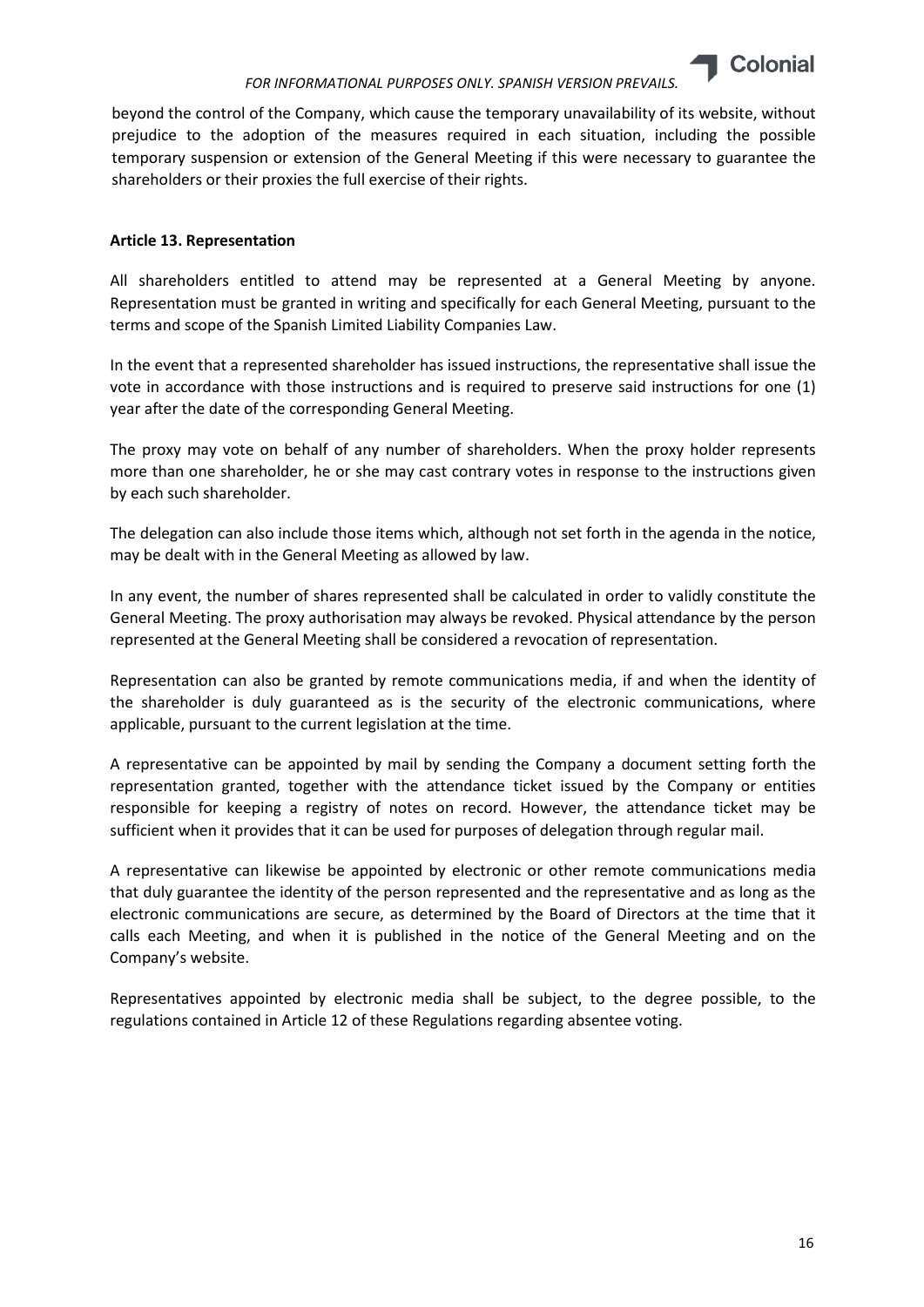

beyond the control of the Company, which cause the temporary unavailability of its website, without prejudice to the adoption of the measures required in each situation, including the possible temporary suspension or extension of the General Meeting if this were necessary to guarantee the shareholders or their proxies the full exercise of their rights.

## Article 13. Representation

All shareholders entitled to attend may be represented at a General Meeting by anyone. Representation must be granted in writing and specifically for each General Meeting, pursuant to the terms and scope of the Spanish Limited Liability Companies Law.

In the event that a represented shareholder has issued instructions, the representative shall issue the vote in accordance with those instructions and is required to preserve said instructions for one (1) year after the date of the corresponding General Meeting.

The proxy may vote on behalf of any number of shareholders. When the proxy holder represents more than one shareholder, he or she may cast contrary votes in response to the instructions given by each such shareholder.

The delegation can also include those items which, although not set forth in the agenda in the notice, may be dealt with in the General Meeting as allowed by law.

In any event, the number of shares represented shall be calculated in order to validly constitute the General Meeting. The proxy authorisation may always be revoked. Physical attendance by the person represented at the General Meeting shall be considered a revocation of representation.

Representation can also be granted by remote communications media, if and when the identity of the shareholder is duly guaranteed as is the security of the electronic communications, where applicable, pursuant to the current legislation at the time.

A representative can be appointed by mail by sending the Company a document setting forth the representation granted, together with the attendance ticket issued by the Company or entities responsible for keeping a registry of notes on record. However, the attendance ticket may be sufficient when it provides that it can be used for purposes of delegation through regular mail.

A representative can likewise be appointed by electronic or other remote communications media that duly guarantee the identity of the person represented and the representative and as long as the electronic communications are secure, as determined by the Board of Directors at the time that it calls each Meeting, and when it is published in the notice of the General Meeting and on the Company's website.

Representatives appointed by electronic media shall be subject, to the degree possible, to the regulations contained in Article 12 of these Regulations regarding absentee voting.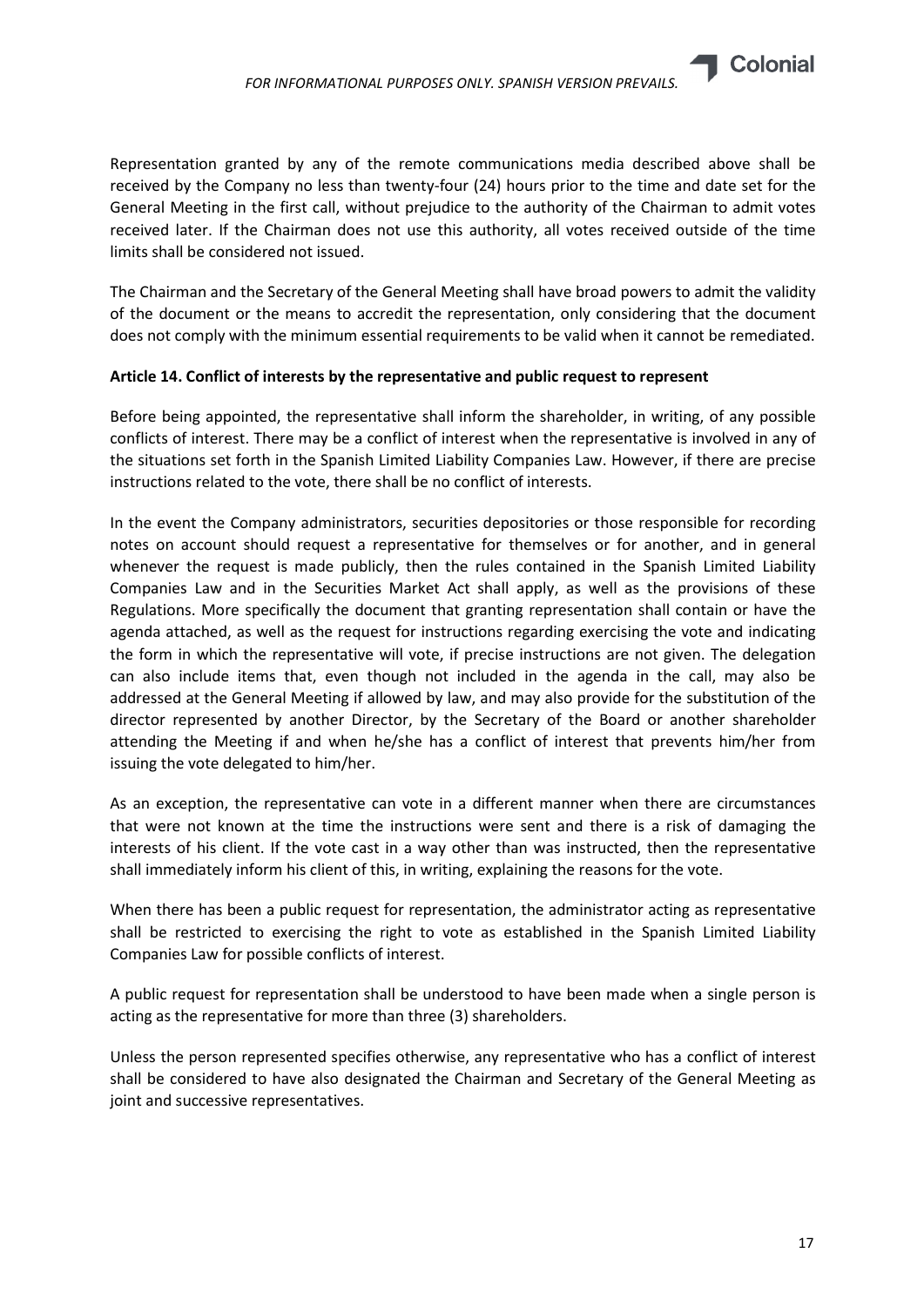

Representation granted by any of the remote communications media described above shall be received by the Company no less than twenty-four (24) hours prior to the time and date set for the General Meeting in the first call, without prejudice to the authority of the Chairman to admit votes received later. If the Chairman does not use this authority, all votes received outside of the time limits shall be considered not issued.

The Chairman and the Secretary of the General Meeting shall have broad powers to admit the validity of the document or the means to accredit the representation, only considering that the document does not comply with the minimum essential requirements to be valid when it cannot be remediated.

# Article 14. Conflict of interests by the representative and public request to represent

Before being appointed, the representative shall inform the shareholder, in writing, of any possible conflicts of interest. There may be a conflict of interest when the representative is involved in any of the situations set forth in the Spanish Limited Liability Companies Law. However, if there are precise instructions related to the vote, there shall be no conflict of interests.

In the event the Company administrators, securities depositories or those responsible for recording notes on account should request a representative for themselves or for another, and in general whenever the request is made publicly, then the rules contained in the Spanish Limited Liability Companies Law and in the Securities Market Act shall apply, as well as the provisions of these Regulations. More specifically the document that granting representation shall contain or have the agenda attached, as well as the request for instructions regarding exercising the vote and indicating the form in which the representative will vote, if precise instructions are not given. The delegation can also include items that, even though not included in the agenda in the call, may also be addressed at the General Meeting if allowed by law, and may also provide for the substitution of the director represented by another Director, by the Secretary of the Board or another shareholder attending the Meeting if and when he/she has a conflict of interest that prevents him/her from issuing the vote delegated to him/her.

As an exception, the representative can vote in a different manner when there are circumstances that were not known at the time the instructions were sent and there is a risk of damaging the interests of his client. If the vote cast in a way other than was instructed, then the representative shall immediately inform his client of this, in writing, explaining the reasons for the vote.

When there has been a public request for representation, the administrator acting as representative shall be restricted to exercising the right to vote as established in the Spanish Limited Liability Companies Law for possible conflicts of interest.

A public request for representation shall be understood to have been made when a single person is acting as the representative for more than three (3) shareholders.

Unless the person represented specifies otherwise, any representative who has a conflict of interest shall be considered to have also designated the Chairman and Secretary of the General Meeting as joint and successive representatives.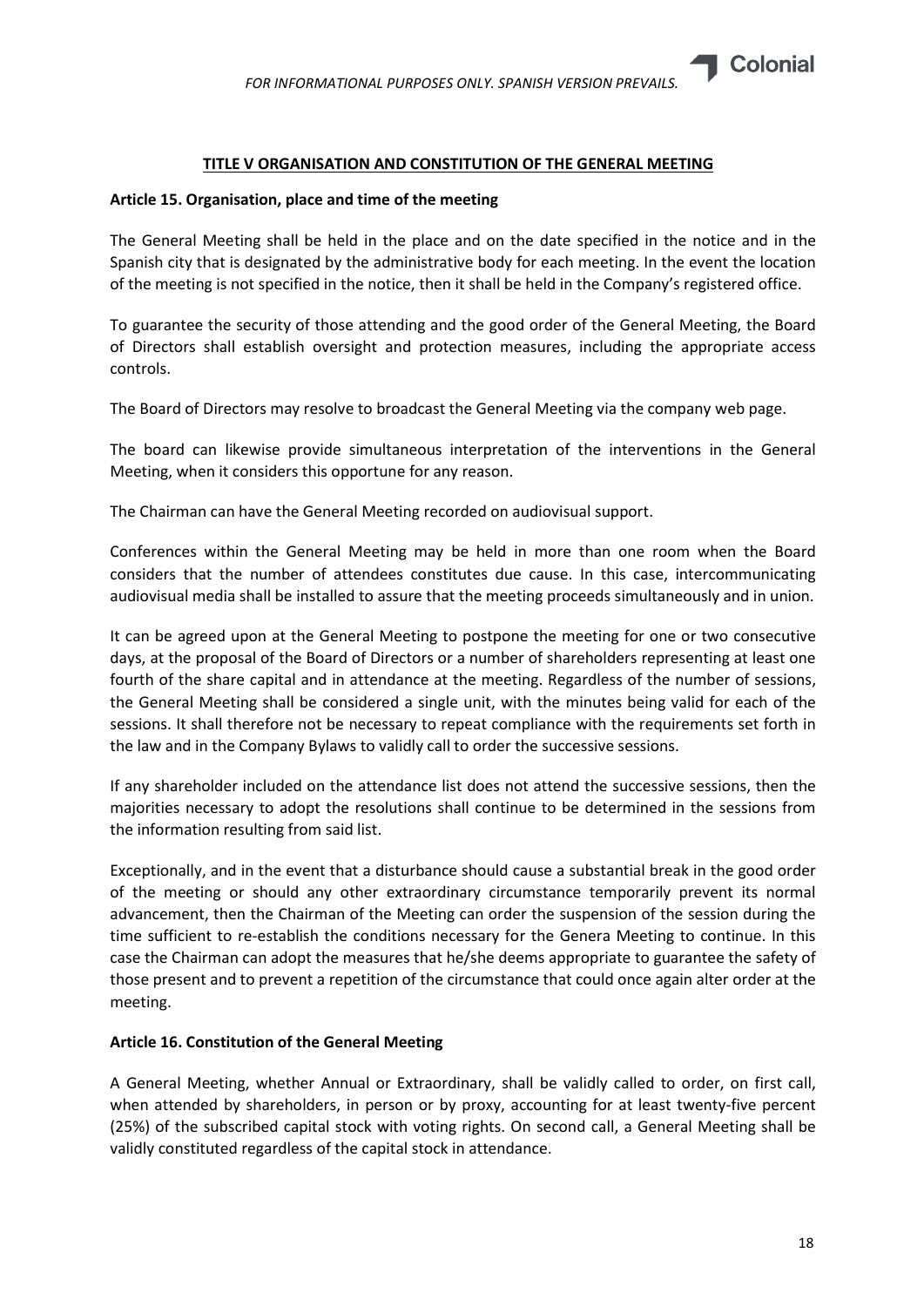

#### TITLE V ORGANISATION AND CONSTITUTION OF THE GENERAL MEETING

#### Article 15. Organisation, place and time of the meeting

The General Meeting shall be held in the place and on the date specified in the notice and in the Spanish city that is designated by the administrative body for each meeting. In the event the location of the meeting is not specified in the notice, then it shall be held in the Company's registered office.

To guarantee the security of those attending and the good order of the General Meeting, the Board of Directors shall establish oversight and protection measures, including the appropriate access controls.

The Board of Directors may resolve to broadcast the General Meeting via the company web page.

The board can likewise provide simultaneous interpretation of the interventions in the General Meeting, when it considers this opportune for any reason.

The Chairman can have the General Meeting recorded on audiovisual support.

Conferences within the General Meeting may be held in more than one room when the Board considers that the number of attendees constitutes due cause. In this case, intercommunicating audiovisual media shall be installed to assure that the meeting proceeds simultaneously and in union.

It can be agreed upon at the General Meeting to postpone the meeting for one or two consecutive days, at the proposal of the Board of Directors or a number of shareholders representing at least one fourth of the share capital and in attendance at the meeting. Regardless of the number of sessions, the General Meeting shall be considered a single unit, with the minutes being valid for each of the sessions. It shall therefore not be necessary to repeat compliance with the requirements set forth in the law and in the Company Bylaws to validly call to order the successive sessions.

If any shareholder included on the attendance list does not attend the successive sessions, then the majorities necessary to adopt the resolutions shall continue to be determined in the sessions from the information resulting from said list.

Exceptionally, and in the event that a disturbance should cause a substantial break in the good order of the meeting or should any other extraordinary circumstance temporarily prevent its normal advancement, then the Chairman of the Meeting can order the suspension of the session during the time sufficient to re-establish the conditions necessary for the Genera Meeting to continue. In this case the Chairman can adopt the measures that he/she deems appropriate to guarantee the safety of those present and to prevent a repetition of the circumstance that could once again alter order at the meeting.

# Article 16. Constitution of the General Meeting

A General Meeting, whether Annual or Extraordinary, shall be validly called to order, on first call, when attended by shareholders, in person or by proxy, accounting for at least twenty-five percent (25%) of the subscribed capital stock with voting rights. On second call, a General Meeting shall be validly constituted regardless of the capital stock in attendance.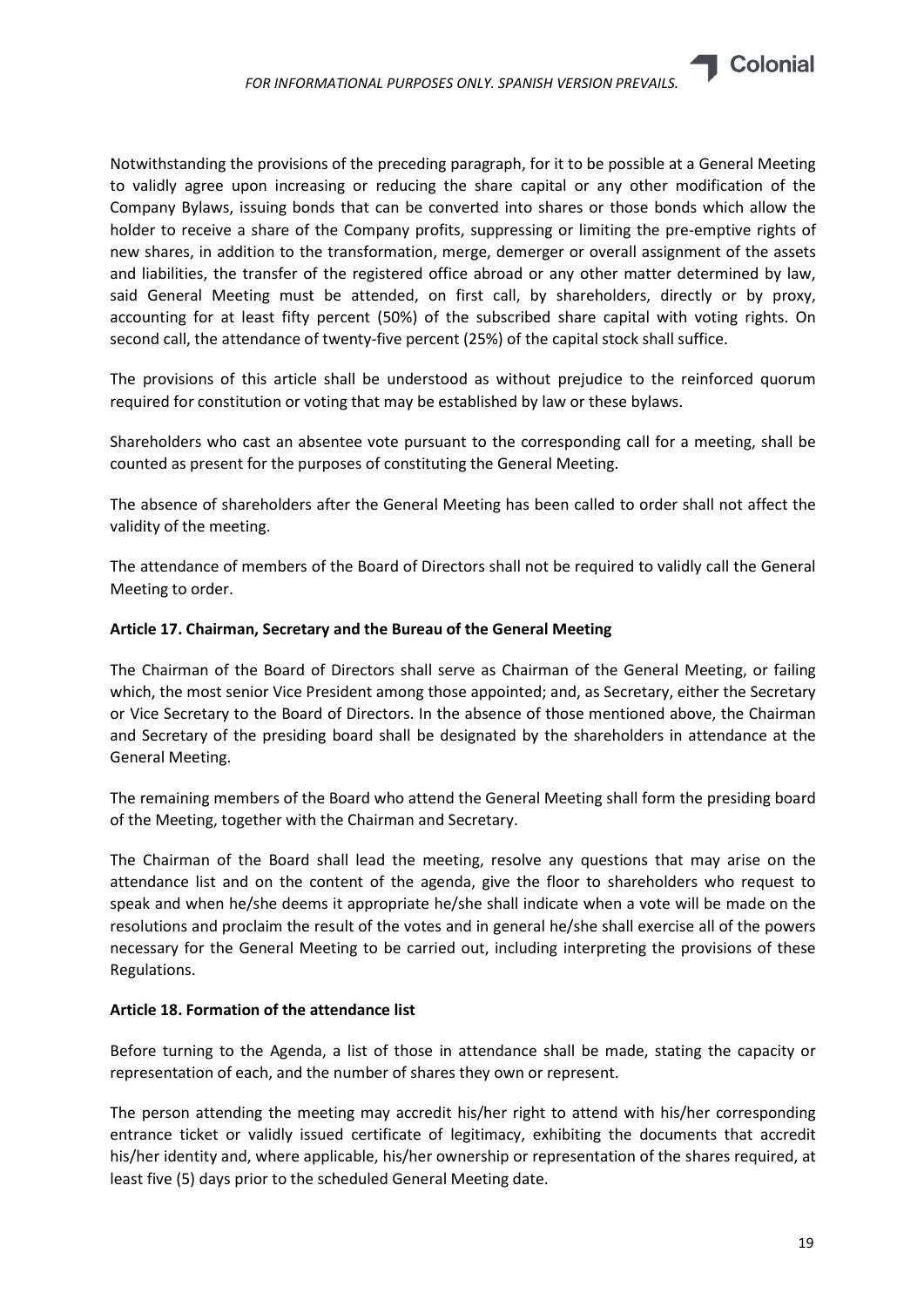

Notwithstanding the provisions of the preceding paragraph, for it to be possible at a General Meeting to validly agree upon increasing or reducing the share capital or any other modification of the Company Bylaws, issuing bonds that can be converted into shares or those bonds which allow the holder to receive a share of the Company profits, suppressing or limiting the pre-emptive rights of new shares, in addition to the transformation, merge, demerger or overall assignment of the assets and liabilities, the transfer of the registered office abroad or any other matter determined by law, said General Meeting must be attended, on first call, by shareholders, directly or by proxy, accounting for at least fifty percent (50%) of the subscribed share capital with voting rights. On second call, the attendance of twenty-five percent (25%) of the capital stock shall suffice.

The provisions of this article shall be understood as without prejudice to the reinforced quorum required for constitution or voting that may be established by law or these bylaws.

Shareholders who cast an absentee vote pursuant to the corresponding call for a meeting, shall be counted as present for the purposes of constituting the General Meeting.

The absence of shareholders after the General Meeting has been called to order shall not affect the validity of the meeting.

The attendance of members of the Board of Directors shall not be required to validly call the General Meeting to order.

# Article 17. Chairman, Secretary and the Bureau of the General Meeting

The Chairman of the Board of Directors shall serve as Chairman of the General Meeting, or failing which, the most senior Vice President among those appointed; and, as Secretary, either the Secretary or Vice Secretary to the Board of Directors. In the absence of those mentioned above, the Chairman and Secretary of the presiding board shall be designated by the shareholders in attendance at the General Meeting.

The remaining members of the Board who attend the General Meeting shall form the presiding board of the Meeting, together with the Chairman and Secretary.

The Chairman of the Board shall lead the meeting, resolve any questions that may arise on the attendance list and on the content of the agenda, give the floor to shareholders who request to speak and when he/she deems it appropriate he/she shall indicate when a vote will be made on the resolutions and proclaim the result of the votes and in general he/she shall exercise all of the powers necessary for the General Meeting to be carried out, including interpreting the provisions of these Regulations.

# Article 18. Formation of the attendance list

Before turning to the Agenda, a list of those in attendance shall be made, stating the capacity or representation of each, and the number of shares they own or represent.

The person attending the meeting may accredit his/her right to attend with his/her corresponding entrance ticket or validly issued certificate of legitimacy, exhibiting the documents that accredit his/her identity and, where applicable, his/her ownership or representation of the shares required, at least five (5) days prior to the scheduled General Meeting date.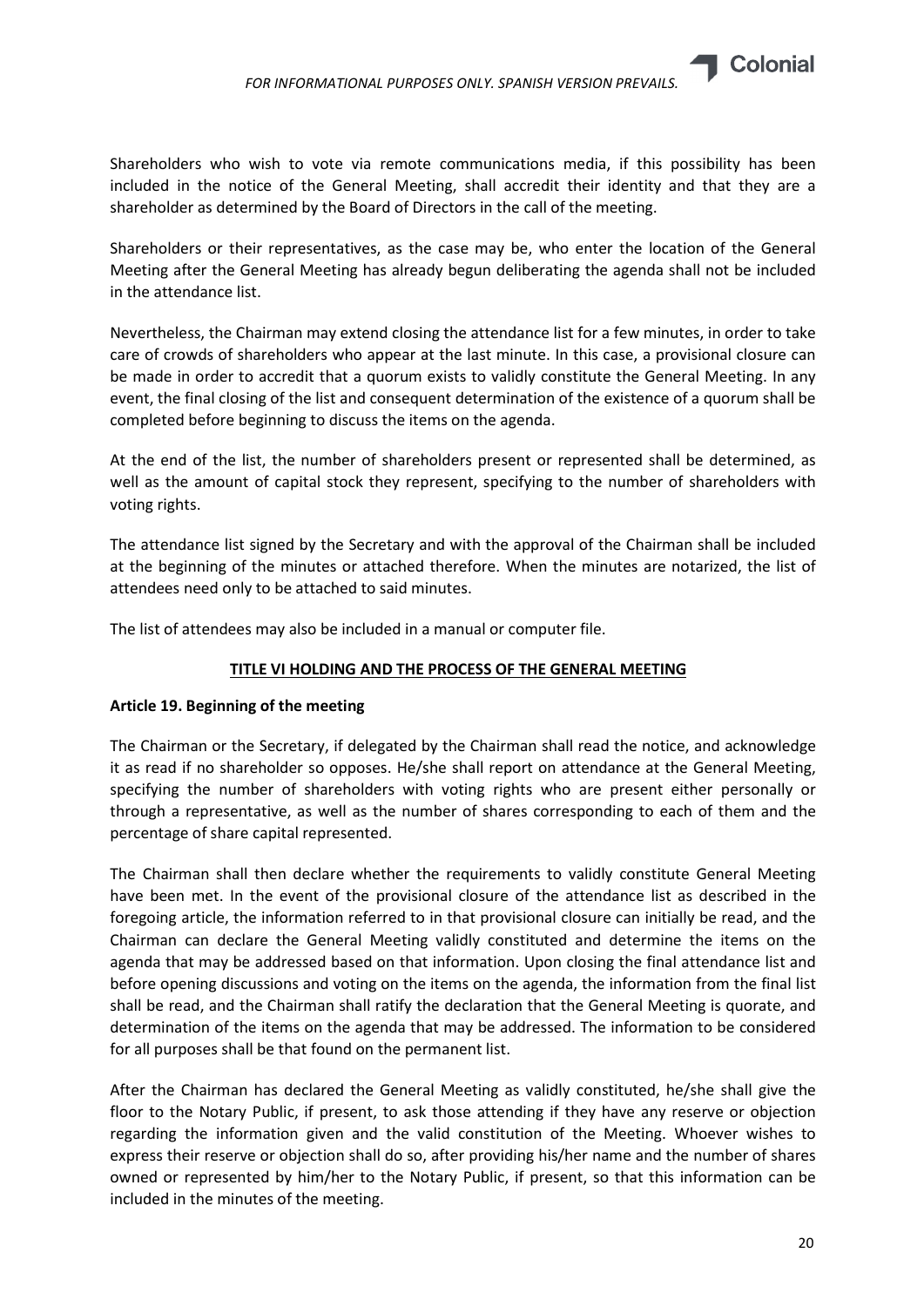

Shareholders or their representatives, as the case may be, who enter the location of the General Meeting after the General Meeting has already begun deliberating the agenda shall not be included in the attendance list.

Nevertheless, the Chairman may extend closing the attendance list for a few minutes, in order to take care of crowds of shareholders who appear at the last minute. In this case, a provisional closure can be made in order to accredit that a quorum exists to validly constitute the General Meeting. In any event, the final closing of the list and consequent determination of the existence of a quorum shall be completed before beginning to discuss the items on the agenda.

At the end of the list, the number of shareholders present or represented shall be determined, as well as the amount of capital stock they represent, specifying to the number of shareholders with voting rights.

The attendance list signed by the Secretary and with the approval of the Chairman shall be included at the beginning of the minutes or attached therefore. When the minutes are notarized, the list of attendees need only to be attached to said minutes.

The list of attendees may also be included in a manual or computer file.

# TITLE VI HOLDING AND THE PROCESS OF THE GENERAL MEETING

# Article 19. Beginning of the meeting

The Chairman or the Secretary, if delegated by the Chairman shall read the notice, and acknowledge it as read if no shareholder so opposes. He/she shall report on attendance at the General Meeting, specifying the number of shareholders with voting rights who are present either personally or through a representative, as well as the number of shares corresponding to each of them and the percentage of share capital represented.

The Chairman shall then declare whether the requirements to validly constitute General Meeting have been met. In the event of the provisional closure of the attendance list as described in the foregoing article, the information referred to in that provisional closure can initially be read, and the Chairman can declare the General Meeting validly constituted and determine the items on the agenda that may be addressed based on that information. Upon closing the final attendance list and before opening discussions and voting on the items on the agenda, the information from the final list shall be read, and the Chairman shall ratify the declaration that the General Meeting is quorate, and determination of the items on the agenda that may be addressed. The information to be considered for all purposes shall be that found on the permanent list.

After the Chairman has declared the General Meeting as validly constituted, he/she shall give the floor to the Notary Public, if present, to ask those attending if they have any reserve or objection regarding the information given and the valid constitution of the Meeting. Whoever wishes to express their reserve or objection shall do so, after providing his/her name and the number of shares owned or represented by him/her to the Notary Public, if present, so that this information can be included in the minutes of the meeting.

**Colonial**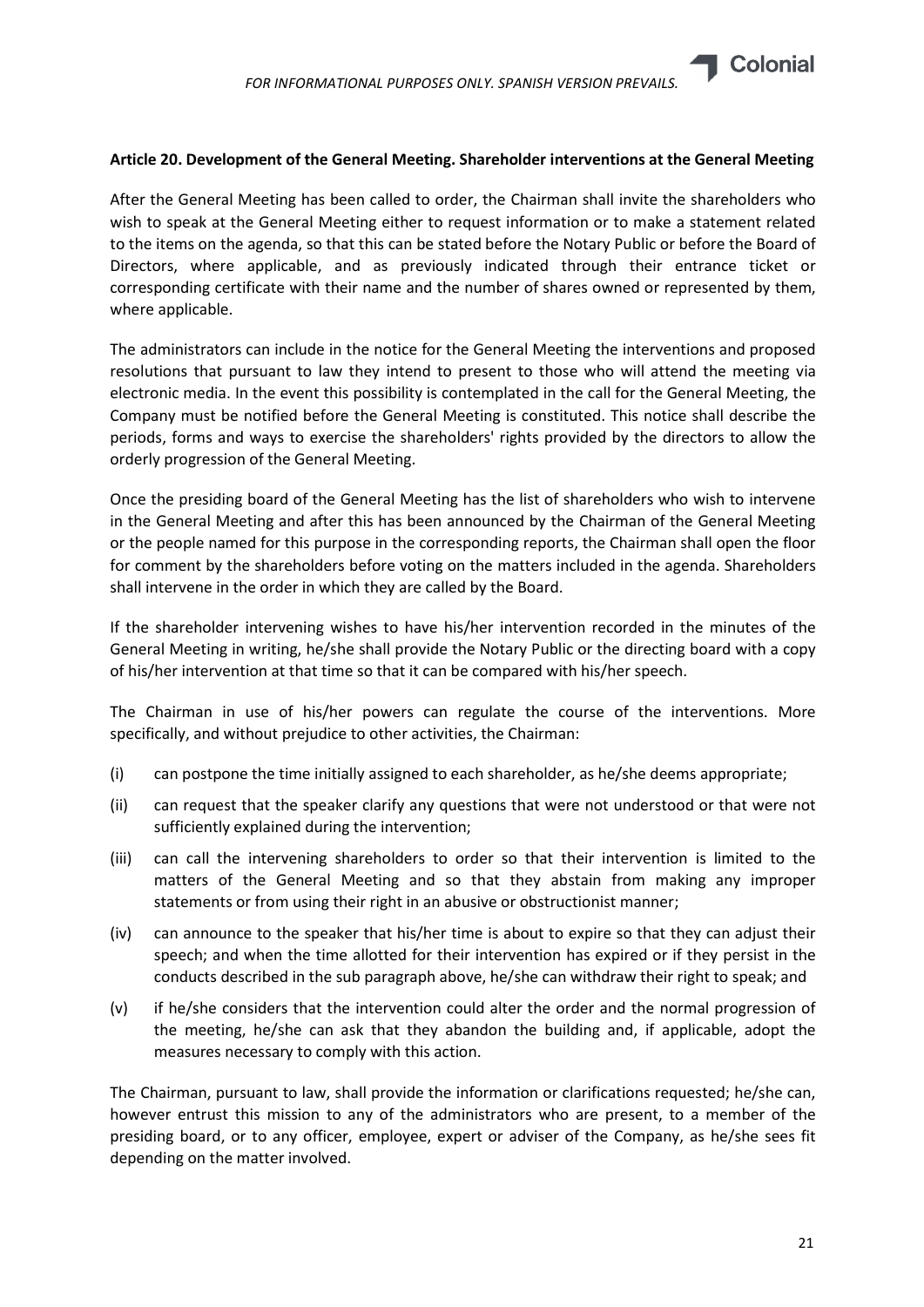

# Article 20. Development of the General Meeting. Shareholder interventions at the General Meeting

After the General Meeting has been called to order, the Chairman shall invite the shareholders who wish to speak at the General Meeting either to request information or to make a statement related to the items on the agenda, so that this can be stated before the Notary Public or before the Board of Directors, where applicable, and as previously indicated through their entrance ticket or corresponding certificate with their name and the number of shares owned or represented by them, where applicable.

The administrators can include in the notice for the General Meeting the interventions and proposed resolutions that pursuant to law they intend to present to those who will attend the meeting via electronic media. In the event this possibility is contemplated in the call for the General Meeting, the Company must be notified before the General Meeting is constituted. This notice shall describe the periods, forms and ways to exercise the shareholders' rights provided by the directors to allow the orderly progression of the General Meeting.

Once the presiding board of the General Meeting has the list of shareholders who wish to intervene in the General Meeting and after this has been announced by the Chairman of the General Meeting or the people named for this purpose in the corresponding reports, the Chairman shall open the floor for comment by the shareholders before voting on the matters included in the agenda. Shareholders shall intervene in the order in which they are called by the Board.

If the shareholder intervening wishes to have his/her intervention recorded in the minutes of the General Meeting in writing, he/she shall provide the Notary Public or the directing board with a copy of his/her intervention at that time so that it can be compared with his/her speech.

The Chairman in use of his/her powers can regulate the course of the interventions. More specifically, and without prejudice to other activities, the Chairman:

- (i) can postpone the time initially assigned to each shareholder, as he/she deems appropriate;
- (ii) can request that the speaker clarify any questions that were not understood or that were not sufficiently explained during the intervention;
- (iii) can call the intervening shareholders to order so that their intervention is limited to the matters of the General Meeting and so that they abstain from making any improper statements or from using their right in an abusive or obstructionist manner;
- (iv) can announce to the speaker that his/her time is about to expire so that they can adjust their speech; and when the time allotted for their intervention has expired or if they persist in the conducts described in the sub paragraph above, he/she can withdraw their right to speak; and
- (v) if he/she considers that the intervention could alter the order and the normal progression of the meeting, he/she can ask that they abandon the building and, if applicable, adopt the measures necessary to comply with this action.

The Chairman, pursuant to law, shall provide the information or clarifications requested; he/she can, however entrust this mission to any of the administrators who are present, to a member of the presiding board, or to any officer, employee, expert or adviser of the Company, as he/she sees fit depending on the matter involved.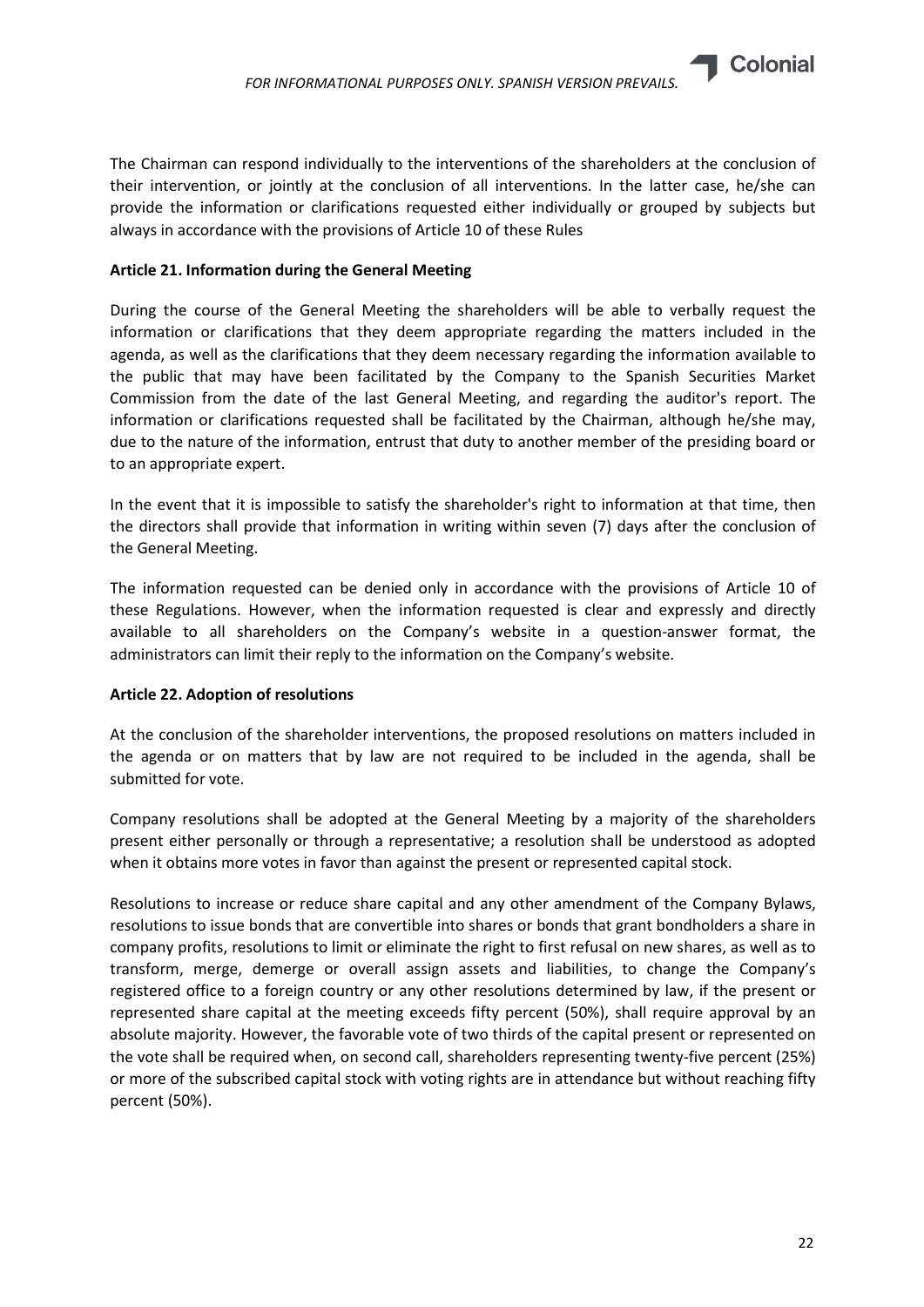

The Chairman can respond individually to the interventions of the shareholders at the conclusion of their intervention, or jointly at the conclusion of all interventions. In the latter case, he/she can provide the information or clarifications requested either individually or grouped by subjects but always in accordance with the provisions of Article 10 of these Rules

# Article 21. Information during the General Meeting

During the course of the General Meeting the shareholders will be able to verbally request the information or clarifications that they deem appropriate regarding the matters included in the agenda, as well as the clarifications that they deem necessary regarding the information available to the public that may have been facilitated by the Company to the Spanish Securities Market Commission from the date of the last General Meeting, and regarding the auditor's report. The information or clarifications requested shall be facilitated by the Chairman, although he/she may, due to the nature of the information, entrust that duty to another member of the presiding board or to an appropriate expert.

In the event that it is impossible to satisfy the shareholder's right to information at that time, then the directors shall provide that information in writing within seven (7) days after the conclusion of the General Meeting.

The information requested can be denied only in accordance with the provisions of Article 10 of these Regulations. However, when the information requested is clear and expressly and directly available to all shareholders on the Company's website in a question-answer format, the administrators can limit their reply to the information on the Company's website.

# Article 22. Adoption of resolutions

At the conclusion of the shareholder interventions, the proposed resolutions on matters included in the agenda or on matters that by law are not required to be included in the agenda, shall be submitted for vote.

Company resolutions shall be adopted at the General Meeting by a majority of the shareholders present either personally or through a representative; a resolution shall be understood as adopted when it obtains more votes in favor than against the present or represented capital stock.

Resolutions to increase or reduce share capital and any other amendment of the Company Bylaws, resolutions to issue bonds that are convertible into shares or bonds that grant bondholders a share in company profits, resolutions to limit or eliminate the right to first refusal on new shares, as well as to transform, merge, demerge or overall assign assets and liabilities, to change the Company's registered office to a foreign country or any other resolutions determined by law, if the present or represented share capital at the meeting exceeds fifty percent (50%), shall require approval by an absolute majority. However, the favorable vote of two thirds of the capital present or represented on the vote shall be required when, on second call, shareholders representing twenty-five percent (25%) or more of the subscribed capital stock with voting rights are in attendance but without reaching fifty percent (50%).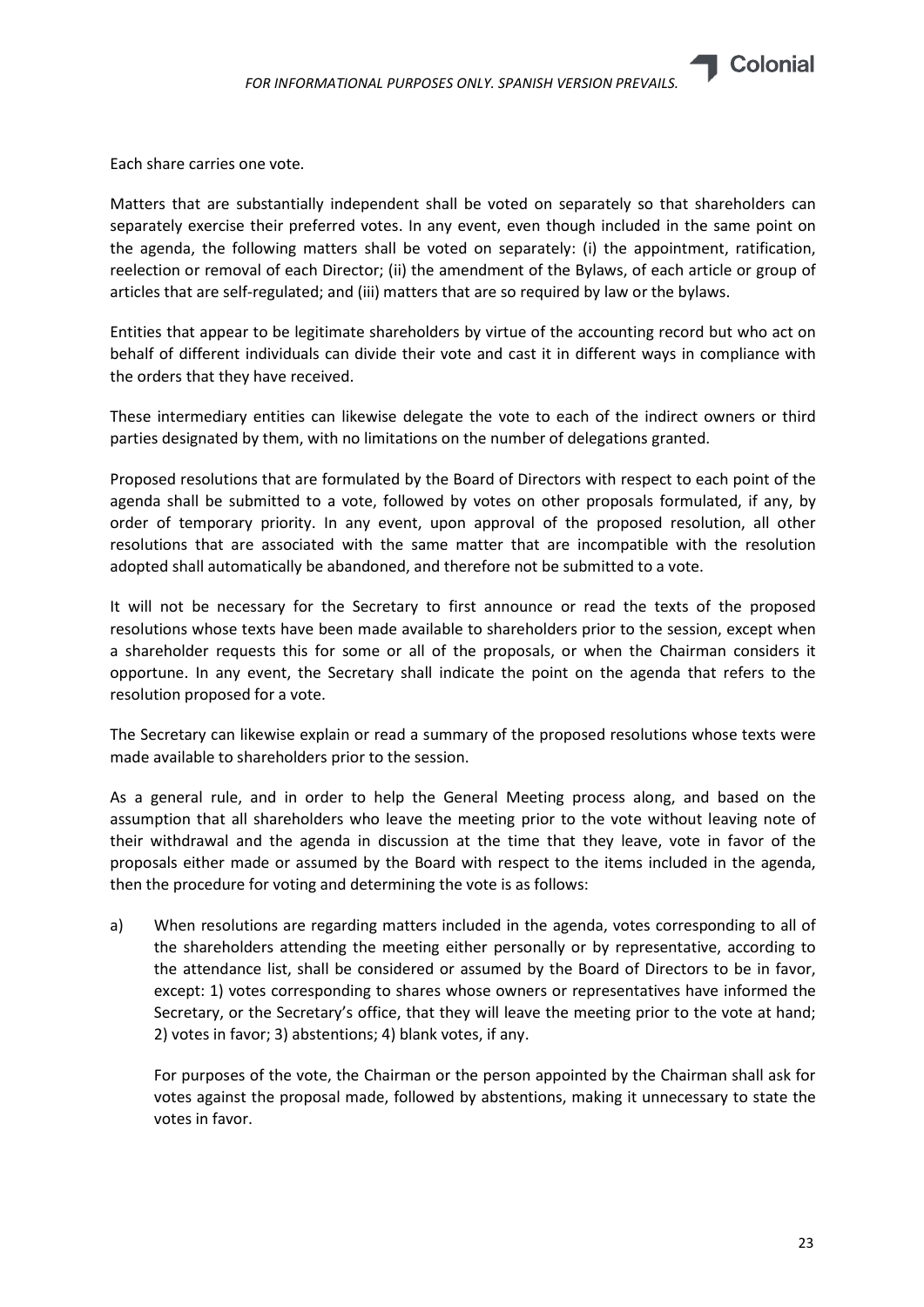

Each share carries one vote.

Matters that are substantially independent shall be voted on separately so that shareholders can separately exercise their preferred votes. In any event, even though included in the same point on the agenda, the following matters shall be voted on separately: (i) the appointment, ratification, reelection or removal of each Director; (ii) the amendment of the Bylaws, of each article or group of articles that are self-regulated; and (iii) matters that are so required by law or the bylaws.

Entities that appear to be legitimate shareholders by virtue of the accounting record but who act on behalf of different individuals can divide their vote and cast it in different ways in compliance with the orders that they have received.

These intermediary entities can likewise delegate the vote to each of the indirect owners or third parties designated by them, with no limitations on the number of delegations granted.

Proposed resolutions that are formulated by the Board of Directors with respect to each point of the agenda shall be submitted to a vote, followed by votes on other proposals formulated, if any, by order of temporary priority. In any event, upon approval of the proposed resolution, all other resolutions that are associated with the same matter that are incompatible with the resolution adopted shall automatically be abandoned, and therefore not be submitted to a vote.

It will not be necessary for the Secretary to first announce or read the texts of the proposed resolutions whose texts have been made available to shareholders prior to the session, except when a shareholder requests this for some or all of the proposals, or when the Chairman considers it opportune. In any event, the Secretary shall indicate the point on the agenda that refers to the resolution proposed for a vote.

The Secretary can likewise explain or read a summary of the proposed resolutions whose texts were made available to shareholders prior to the session.

As a general rule, and in order to help the General Meeting process along, and based on the assumption that all shareholders who leave the meeting prior to the vote without leaving note of their withdrawal and the agenda in discussion at the time that they leave, vote in favor of the proposals either made or assumed by the Board with respect to the items included in the agenda, then the procedure for voting and determining the vote is as follows:

a) When resolutions are regarding matters included in the agenda, votes corresponding to all of the shareholders attending the meeting either personally or by representative, according to the attendance list, shall be considered or assumed by the Board of Directors to be in favor, except: 1) votes corresponding to shares whose owners or representatives have informed the Secretary, or the Secretary's office, that they will leave the meeting prior to the vote at hand; 2) votes in favor; 3) abstentions; 4) blank votes, if any.

For purposes of the vote, the Chairman or the person appointed by the Chairman shall ask for votes against the proposal made, followed by abstentions, making it unnecessary to state the votes in favor.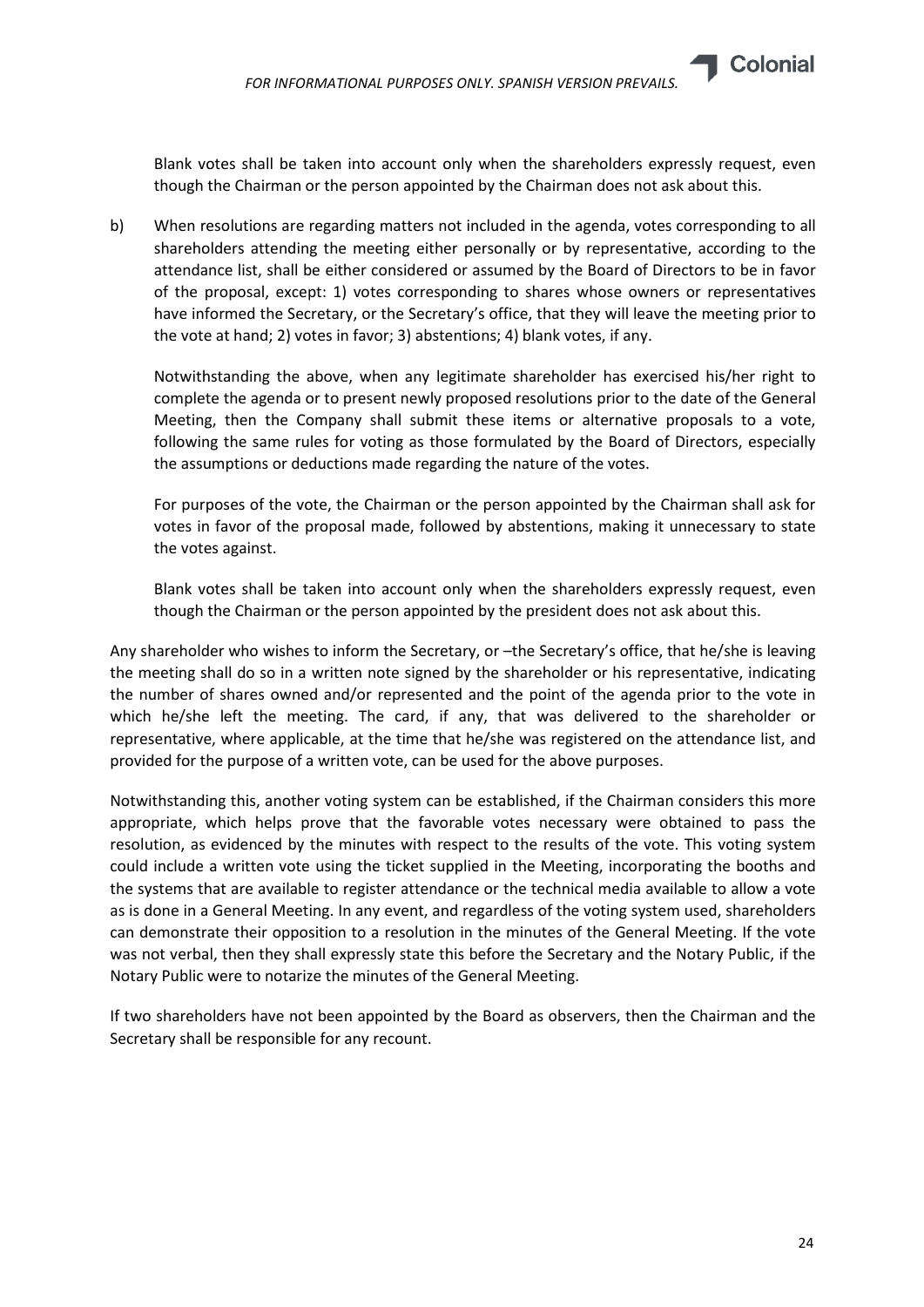Blank votes shall be taken into account only when the shareholders expressly request, even though the Chairman or the person appointed by the Chairman does not ask about this.

b) When resolutions are regarding matters not included in the agenda, votes corresponding to all shareholders attending the meeting either personally or by representative, according to the attendance list, shall be either considered or assumed by the Board of Directors to be in favor of the proposal, except: 1) votes corresponding to shares whose owners or representatives have informed the Secretary, or the Secretary's office, that they will leave the meeting prior to the vote at hand; 2) votes in favor; 3) abstentions; 4) blank votes, if any.

Notwithstanding the above, when any legitimate shareholder has exercised his/her right to complete the agenda or to present newly proposed resolutions prior to the date of the General Meeting, then the Company shall submit these items or alternative proposals to a vote, following the same rules for voting as those formulated by the Board of Directors, especially the assumptions or deductions made regarding the nature of the votes.

For purposes of the vote, the Chairman or the person appointed by the Chairman shall ask for votes in favor of the proposal made, followed by abstentions, making it unnecessary to state the votes against.

Blank votes shall be taken into account only when the shareholders expressly request, even though the Chairman or the person appointed by the president does not ask about this.

Any shareholder who wishes to inform the Secretary, or –the Secretary's office, that he/she is leaving the meeting shall do so in a written note signed by the shareholder or his representative, indicating the number of shares owned and/or represented and the point of the agenda prior to the vote in which he/she left the meeting. The card, if any, that was delivered to the shareholder or representative, where applicable, at the time that he/she was registered on the attendance list, and provided for the purpose of a written vote, can be used for the above purposes.

Notwithstanding this, another voting system can be established, if the Chairman considers this more appropriate, which helps prove that the favorable votes necessary were obtained to pass the resolution, as evidenced by the minutes with respect to the results of the vote. This voting system could include a written vote using the ticket supplied in the Meeting, incorporating the booths and the systems that are available to register attendance or the technical media available to allow a vote as is done in a General Meeting. In any event, and regardless of the voting system used, shareholders can demonstrate their opposition to a resolution in the minutes of the General Meeting. If the vote was not verbal, then they shall expressly state this before the Secretary and the Notary Public, if the Notary Public were to notarize the minutes of the General Meeting.

If two shareholders have not been appointed by the Board as observers, then the Chairman and the Secretary shall be responsible for any recount.

**Colonial**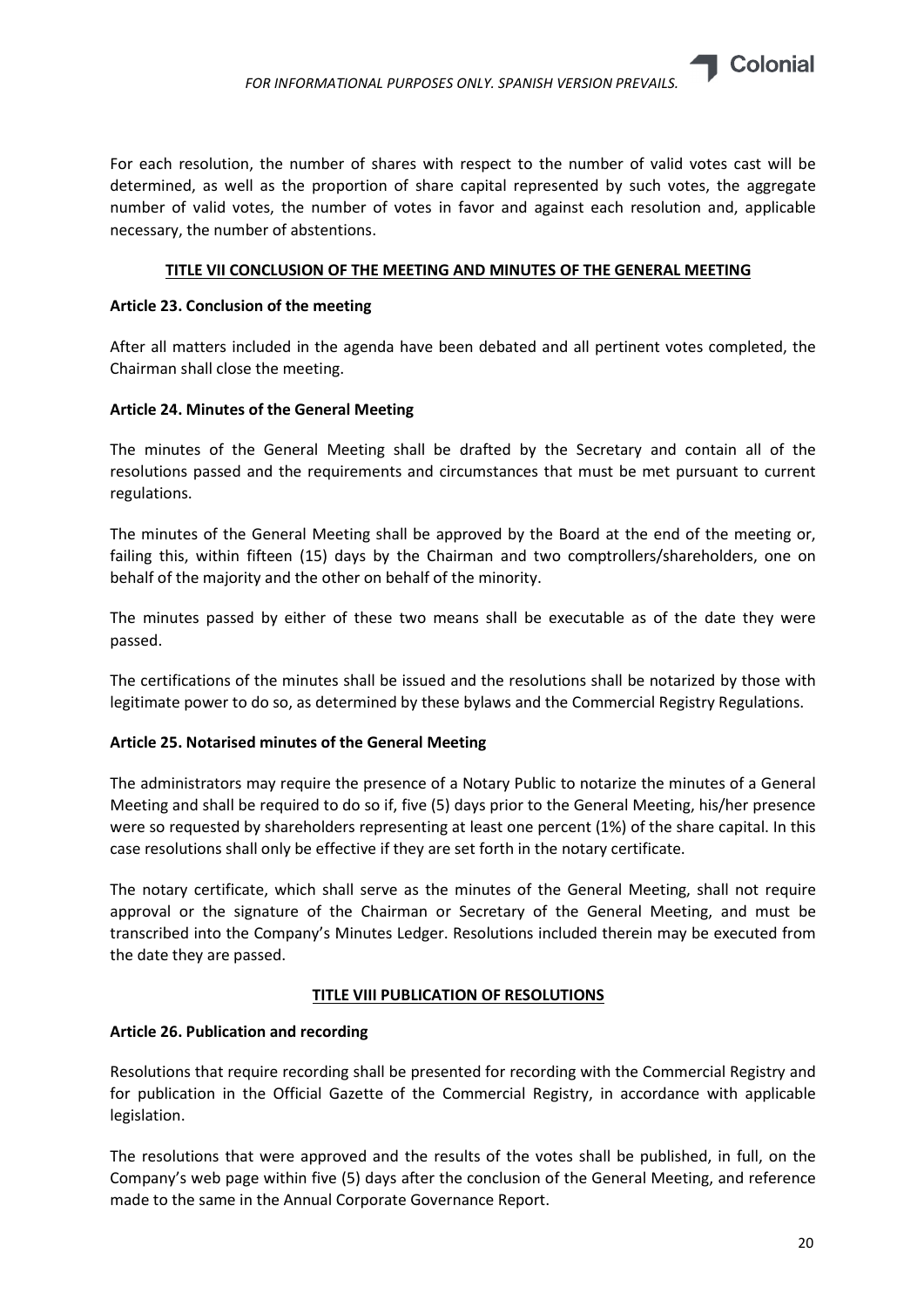

For each resolution, the number of shares with respect to the number of valid votes cast will be determined, as well as the proportion of share capital represented by such votes, the aggregate number of valid votes, the number of votes in favor and against each resolution and, applicable necessary, the number of abstentions.

# TITLE VII CONCLUSION OF THE MEETING AND MINUTES OF THE GENERAL MEETING

# Article 23. Conclusion of the meeting

After all matters included in the agenda have been debated and all pertinent votes completed, the Chairman shall close the meeting.

# Article 24. Minutes of the General Meeting

The minutes of the General Meeting shall be drafted by the Secretary and contain all of the resolutions passed and the requirements and circumstances that must be met pursuant to current regulations.

The minutes of the General Meeting shall be approved by the Board at the end of the meeting or, failing this, within fifteen (15) days by the Chairman and two comptrollers/shareholders, one on behalf of the majority and the other on behalf of the minority.

The minutes passed by either of these two means shall be executable as of the date they were passed.

The certifications of the minutes shall be issued and the resolutions shall be notarized by those with legitimate power to do so, as determined by these bylaws and the Commercial Registry Regulations.

# Article 25. Notarised minutes of the General Meeting

The administrators may require the presence of a Notary Public to notarize the minutes of a General Meeting and shall be required to do so if, five (5) days prior to the General Meeting, his/her presence were so requested by shareholders representing at least one percent (1%) of the share capital. In this case resolutions shall only be effective if they are set forth in the notary certificate.

The notary certificate, which shall serve as the minutes of the General Meeting, shall not require approval or the signature of the Chairman or Secretary of the General Meeting, and must be transcribed into the Company's Minutes Ledger. Resolutions included therein may be executed from the date they are passed.

# TITLE VIII PUBLICATION OF RESOLUTIONS

# Article 26. Publication and recording

Resolutions that require recording shall be presented for recording with the Commercial Registry and for publication in the Official Gazette of the Commercial Registry, in accordance with applicable legislation.

The resolutions that were approved and the results of the votes shall be published, in full, on the Company's web page within five (5) days after the conclusion of the General Meeting, and reference made to the same in the Annual Corporate Governance Report.